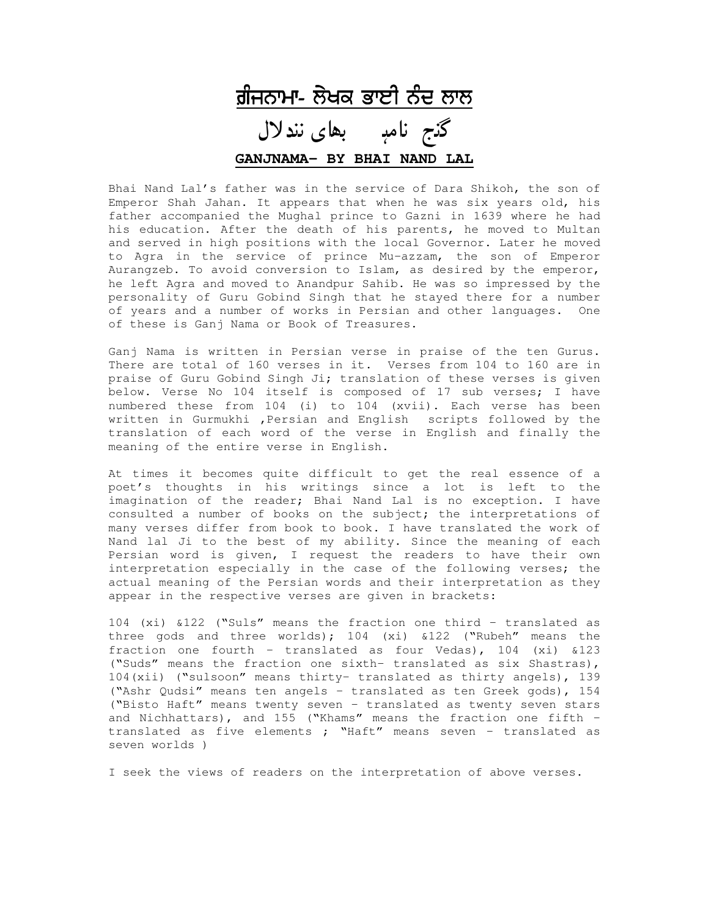

Bhai Nand Lal's father was in the service of Dara Shikoh, the son of Emperor Shah Jahan. It appears that when he was six years old, his father accompanied the Mughal prince to Gazni in 1639 where he had his education. After the death of his parents, he moved to Multan and served in high positions with the local Governor. Later he moved to Agra in the service of prince Mu-azzam, the son of Emperor Aurangzeb. To avoid conversion to Islam, as desired by the emperor, he left Agra and moved to Anandpur Sahib. He was so impressed by the personality of Guru Gobind Singh that he stayed there for a number of years and a number of works in Persian and other languages. One of these is Ganj Nama or Book of Treasures.

Ganj Nama is written in Persian verse in praise of the ten Gurus. There are total of 160 verses in it. Verses from 104 to 160 are in praise of Guru Gobind Singh Ji; translation of these verses is given below. Verse No 104 itself is composed of 17 sub verses; I have numbered these from 104 (i) to 104 (xvii). Each verse has been written in Gurmukhi ,Persian and English scripts followed by the translation of each word of the verse in English and finally the meaning of the entire verse in English.

At times it becomes quite difficult to get the real essence of a poet's thoughts in his writings since a lot is left to the imagination of the reader; Bhai Nand Lal is no exception. I have consulted a number of books on the subject; the interpretations of many verses differ from book to book. I have translated the work of Nand lal Ji to the best of my ability. Since the meaning of each Persian word is given, I request the readers to have their own interpretation especially in the case of the following verses; the actual meaning of the Persian words and their interpretation as they appear in the respective verses are given in brackets:

104 (xi) &122 ("Suls" means the fraction one third – translated as three gods and three worlds); 104 (xi) &122 ("Rubeh" means the fraction one fourth – translated as four Vedas), 104 (xi) &123 ("Suds" means the fraction one sixth- translated as six Shastras), 104(xii) ("sulsoon" means thirty- translated as thirty angels), 139 ("Ashr Qudsi" means ten angels – translated as ten Greek gods), 154 ("Bisto Haft" means twenty seven – translated as twenty seven stars and Nichhattars), and 155 ("Khams" means the fraction one fifth – translated as five elements ; "Haft" means seven – translated as seven worlds )

I seek the views of readers on the interpretation of above verses.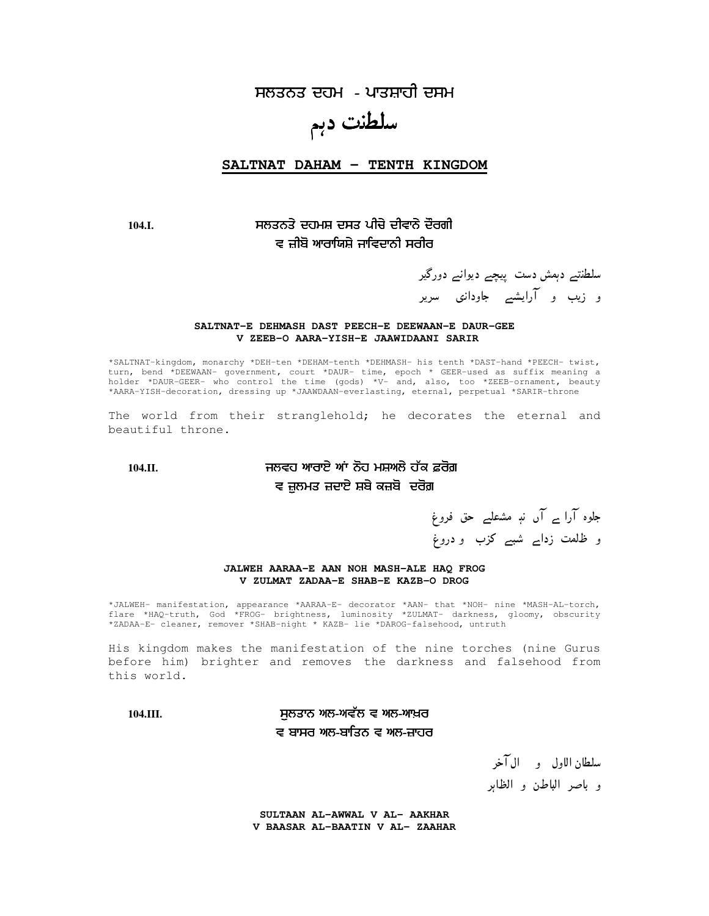ਸਲਤਨਤ ਦਹਮ - ਪਾਤਸ਼ਾਹੀ ਦਸਮ

# سلطنت دہم

**SALTNAT DAHAM - TENTH KINGDOM**

### **104.I.** ਵ ਜ਼ੀਬੋ ਆਰਾਯਿਸ਼ੇ ਜਾਵਿਦਾਨੀ ਸਰੀਰ

سلطنتے دہمش دست پیچے دیوانے دورگیر و زیب و آرایشیے جاودانی سریر

#### **SALTNAT-E DEHMASH DAST PEECH-E DEEWAAN-E DAUR-GEE V ZEEB-O AARA-YISH-E JAAWIDAANI SARIR**

\*SALTNAT-kingdom, monarchy \*DEH-ten \*DEHAM-tenth \*DEHMASH- his tenth \*DAST-hand \*PEECH- twist, turn, bend \*DEEWAAN- government, court \*DAUR- time, epoch \* GEER-used as suffix meaning a holder \*DAUR-GEER- who control the time (gods) \*V- and, also, too \*ZEEB-ornament, beauty \*AARA-YISH-decoration, dressing up \*JAAWDAAN-everlasting, eternal, perpetual \*SARIR-throne

The world from their stranglehold; he decorates the eternal and beautiful throne.

### **104.II.** !" # \$ ਵ ਜ਼ੁਲਮਤ ਜ਼ਦਾਏ ਸ਼ਬੇ ਕਜ਼ਬੋ ਦਰੋਗ਼

جلوہ آرا ے آں نہٖ مشعلے حق فروغ و ظلمت زدا<sub>ے</sub> شبے کزب و دروغ

#### **JALWEH AARAA-E AAN NOH MASH-ALE HAQ FROG V ZULMAT ZADAA-E SHAB-E KAZB-O DROG**

\*JALWEH- manifestation, appearance \*AARAA-E- decorator \*AAN- that \*NOH- nine \*MASH-AL-torch, flare \*HAQ-truth, God \*FROG- brightness, luminosity \*ZULMAT- darkness, gloomy, obscurity \*ZADAA-E- cleaner, remover \*SHAB-night \* KAZB- lie \*DAROG-falsehood, untruth

His kingdom makes the manifestation of the nine torches (nine Gurus before him) brighter and removes the darkness and falsehood from this world.

### **104.III.** % # & ਵ ਬਾਸਰ ਅਲ-ਬਾਤਿਨ ਵ ਅਲ-ਜ਼ਾਹਰ

سلطان الاول و الآخر و باصر الباطن و الظاہر

**SULTAAN AL-AWWAL V AL- AAKHAR V BAASAR AL-BAATIN V AL- ZAAHAR**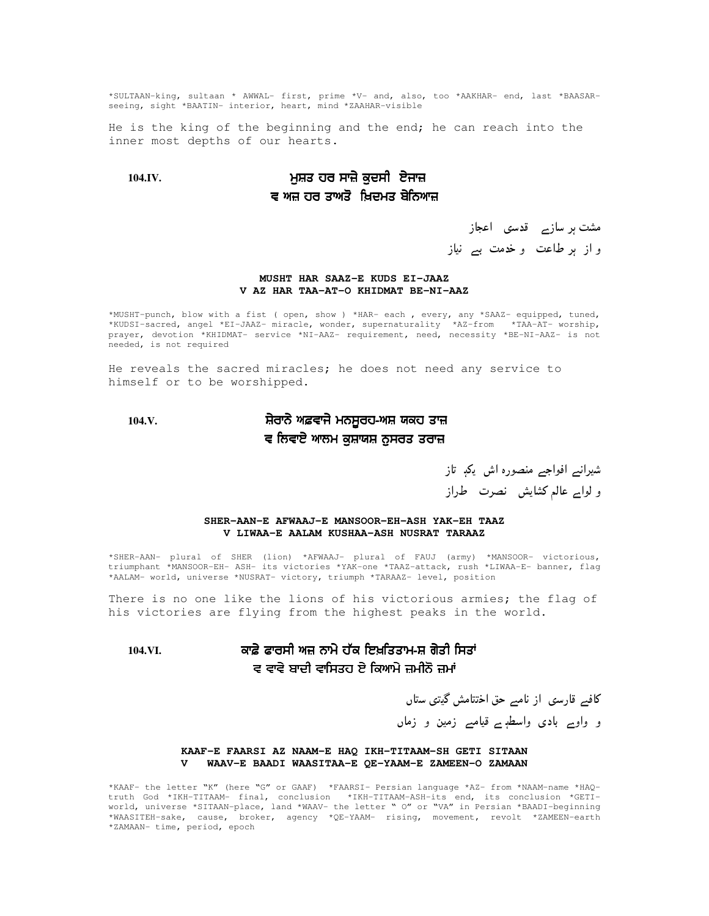\*SULTAAN-king, sultaan \* AWWAL- first, prime \*V- and, also, too \*AAKHAR- end, last \*BAASARseeing, sight \*BAATIN- interior, heart, mind \*ZAAHAR-visible

He is the king of the beginning and the end; he can reach into the inner most depths of our hearts.

### **104.IV.** % % ਵ ਅਜ਼ ਹਰ ਤਾਅਤੋ ਖ਼ਿਦਮਤ ਬੇਨਿਆਜ਼

# مشت ہر سازے قدسی اعجاز و از ہر طاعت و خدمت بے نیاز

#### **MUSHT HAR SAAZ-E KUDS EI-JAAZ V AZ HAR TAA-AT-O KHIDMAT BE-NI-AAZ**

\*MUSHT-punch, blow with a fist ( open, show ) \*HAR- each , every, any \*SAAZ- equipped, tuned, \*KUDSI-sacred, angel \*EI-JAAZ- miracle, wonder, supernaturality \*AZ-from \*TAA-AT- worship, prayer, devotion \*KHIDMAT- service \*NI-AAZ- requirement, need, necessity \*BE-NI-AAZ- is not needed, is not required

He reveals the sacred miracles; he does not need any service to himself or to be worshipped.

#### **104.V.** ਰਾਨੇ ਅਫ਼ਵਾਜੇ ਮਨਸੂਰਹ-ਅਸ਼ ਯਕਹ ਤਾਜ਼ ਵ ਲਿਵਾਏ ਆਲਮ ਕੁਸ਼ਾਯਸ਼ ਨੁਸਰਤ ਤਰਾਜ਼

شیرانے افواجے منصورہ اش یکہ تاز و لواے عالم كشايش نصرت طراز

#### **SHER-AAN-E AFWAAJ-E MANSOOR-EH-ASH YAK-EH TAAZ V LIWAA-E AALAM KUSHAA-ASH NUSRAT TARAAZ**

\*SHER-AAN- plural of SHER (lion) \*AFWAAJ- plural of FAUJ (army) \*MANSOOR- victorious, triumphant \*MANSOOR-EH- ASH- its victories \*YAK-one \*TAAZ-attack, rush \*LIWAA-E- banner, flag \*AALAM- world, universe \*NUSRAT- victory, triumph \*TARAAZ- level, position

There is no one like the lions of his victorious armies; the flag of his victories are flying from the highest peaks in the world.

#### 104.VI. ਫਾਰਸੀ ਅਜ਼ ਨਾਮੇ ਹੱਕ ਇਖ਼ਤਿਤਾਮ-ਸ਼ ਗੇਤੀ ਸਿਤਾਂ ਵ ਵਾਵੇ ਬਾਦੀ ਵਾਸਿਤਹ ਏ ਕਿਆਮੇ ਜ਼ਮੀਨੋ ਜ਼ਮਾਂ

کافے قارسی از نامے حق اختتامش گیتی ستاں

و واوے بادی واسطہٖے قیامے زمین و زماں

#### **KAAF-E FAARSI AZ NAAM-E HAQ IKH-TITAAM-SH GETI SITAAN V WAAV-E BAADI WAASITAA-E QE-YAAM-E ZAMEEN-O ZAMAAN**

\*KAAF- the letter "K" (here "G" or GAAF) \*FAARSI- Persian language \*AZ- from \*NAAM-name \*HAQtruth God \*IKH-TITAAM- final, conclusion \*IKH-TITAAM-ASH-its end, its conclusion \*GETIworld, universe \*SITAAN-place, land \*WAAV- the letter " O" or "VA" in Persian \*BAADI-beginning \*WAASITEH-sake, cause, broker, agency \*QE-YAAM- rising, movement, revolt \*ZAMEEN-earth \*ZAMAAN- time, period, epoch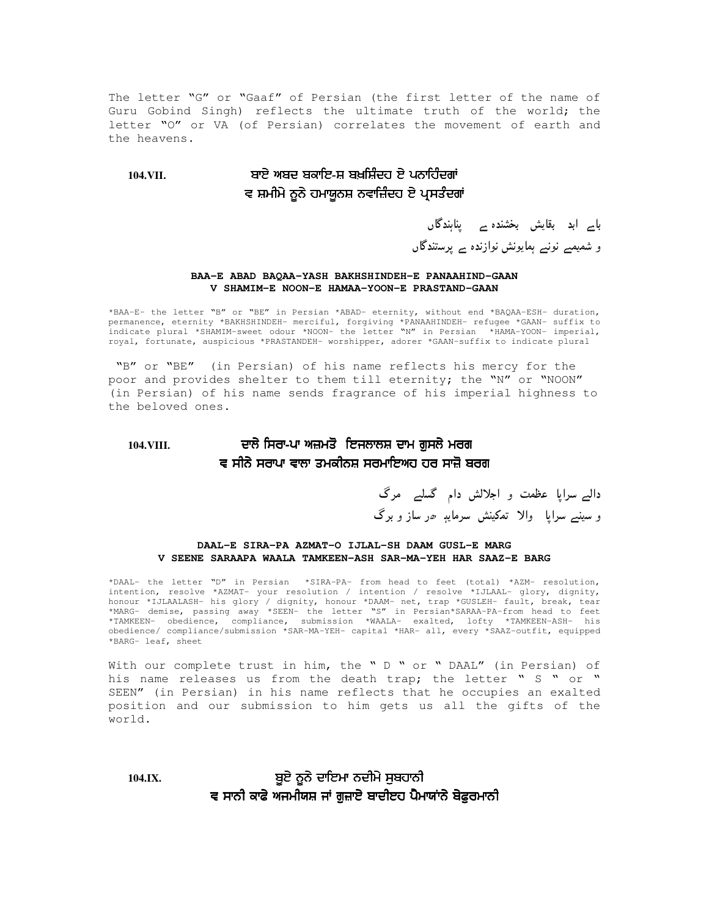The letter "G" or "Gaaf" of Persian (the first letter of the name of Guru Gobind Singh) reflects the ultimate truth of the world; the letter "O" or VA (of Persian) correlates the movement of earth and the heavens.

#### **104.VII.** ਅਬਦ ਬਕਾਇ-ਸ਼ ਬਖ਼ਸ਼ਿੰਦਹ ਏ ਪਨਾਹਿੰਦਗਾਂ ਵ ਸ਼ਮੀਮੇ ਨੂਨੇ ਹਮਾਯੂਨਸ਼ ਨਵਾਜ਼ਿੰਦਹ ਏ ਪ੍ਰਸਤੰਦਗਾਂ

# باے ابد بقایش بخشندہ ے پناہندگاں و شمیمے نونے ہمایونش نوازندہ ے پرستندگاں

#### **BAA-E ABAD BAQAA-YASH BAKHSHINDEH-E PANAAHIND-GAAN V SHAMIM-E NOON-E HAMAA-YOON-E PRASTAND-GAAN**

\*BAA-E- the letter "B" or "BE" in Persian \*ABAD- eternity, without end \*BAQAA-ESH- duration, permanence, eternity \*BAKHSHINDEH- merciful, forgiving \*PANAAHINDEH- refugee \*GAAN- suffix to indicate plural \*SHAMIM-sweet odour \*NOON- the letter "N" in Persian \*HAMA-YOON- imperial, royal, fortunate, auspicious \*PRASTANDEH- worshipper, adorer \*GAAN-suffix to indicate plural

"B" or "BE" (in Persian) of his name reflects his mercy for the poor and provides shelter to them till eternity; the "N" or "NOON" (in Persian) of his name sends fragrance of his imperial highness to the beloved ones.

#### **104.VIII.** ਸਿਰਾ-ਪਾ ਅਜ਼ਮਤੋ ਇਜਲਾਲਸ਼ ਦਾਮ ਗੁਸਲੇ ਮਰਗ ਵ ਸੀਨੇ ਸਰਾਪਾ ਵਾਲਾ ਤਮਕੀਨਸ਼ ਸਰਮਾਇਅਹ ਹਰ ਸਾਜ਼ੋ ਬਰਗ

دالے سراپا عظمت و اجلالش دام گسلے مرگ و سینے سراپا والا تمکینش سرمایہ ھر ساز و برگ

#### **DAAL-E SIRA-PA AZMAT-O IJLAL-SH DAAM GUSL-E MARG V SEENE SARAAPA WAALA TAMKEEN-ASH SAR-MA-YEH HAR SAAZ-E BARG**

\*DAAL- the letter "D" in Persian \*SIRA-PA- from head to feet (total) \*AZM- resolution, intention, resolve \*AZMAT- your resolution / intention / resolve \*IJLAAL- glory, dignity, honour \*IJLAALASH- his glory / dignity, honour \*DAAM- net, trap \*GUSLEH- fault, break, tear \*MARG- demise, passing away \*SEEN- the letter "S" in Persian\*SARAA-PA-from head to feet \*TAMKEEN- obedience, compliance, submission \*WAALA- exalted, lofty \*TAMKEEN-ASH- his obedience/ compliance/submission \*SAR-MA-YEH- capital \*HAR- all, every \*SAAZ-outfit, equipped \*BARG- leaf, sheet

With our complete trust in him, the " D " or " DAAL" (in Persian) of his name releases us from the death trap; the letter " S " or " SEEN" (in Persian) in his name reflects that he occupies an exalted position and our submission to him gets us all the gifts of the world.

> ਨੂਨੇ ਦਾਇਮਾ ਨਦੀਮੇ ਸੁਬਹਾਨੀ ਵ ਸਾਨੀ ਕਾਫੇ ਅਜਮੀਯਸ਼ ਜਾਂ ਗੁਜ਼ਾਏ ਬਾਦੀੲਹ ਪੈੈਮਾਯਾਂਨੇ ਬੇਫੁਰਮਾਨੀ

**104.IX.** '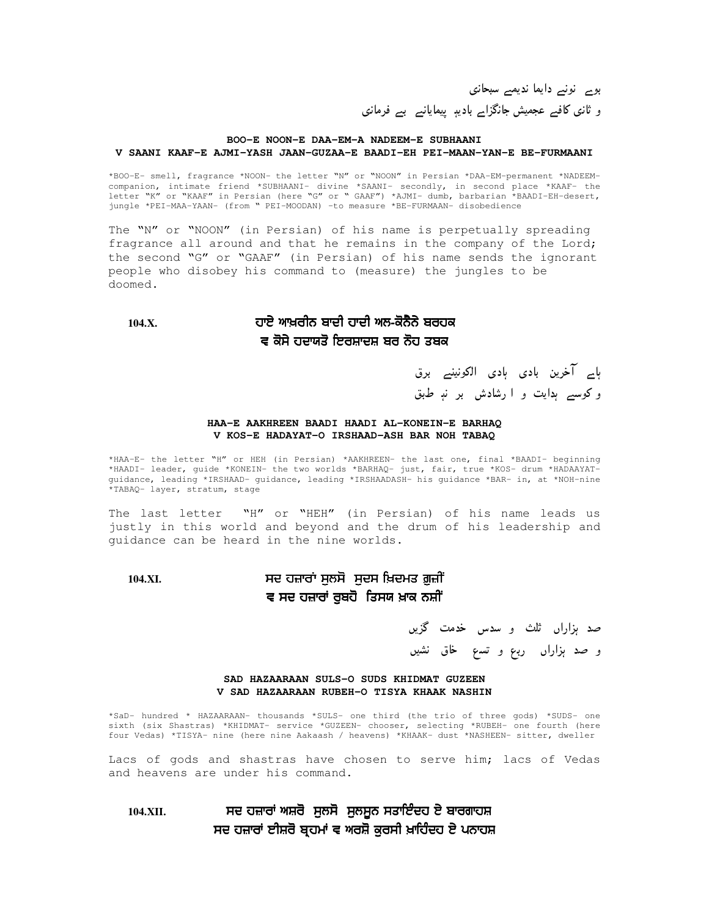بوے نونے دایما ندیمے سبحانی و ثانی کافیے عجمیش جانگزاے بادیہٖ پیمایانے بے فرمانی

#### **BOO-E NOON-E DAA-EM-A NADEEM-E SUBHAANI V SAANI KAAF-E AJMI-YASH JAAN-GUZAA-E BAADI-EH PEI-MAAN-YAN-E BE-FURMAANI**

\*BOO-E- smell, fragrance \*NOON- the letter "N" or "NOON" in Persian \*DAA-EM-permanent \*NADEEMcompanion, intimate friend \*SUBHAANI- divine \*SAANI- secondly, in second place \*KAAF- the letter "K" or "KAAF" in Persian (here "G" or " GAAF") \*AJMI- dumb, barbarian \*BAADI-EH-desert, jungle \*PEI-MAA-YAAN- (from " PEI-MOODAN) –to measure \*BE-FURMAAN- disobedience

The "N" or "NOON" (in Persian) of his name is perpetually spreading fragrance all around and that he remains in the company of the Lord; the second "G" or "GAAF" (in Persian) of his name sends the ignorant people who disobey his command to (measure) the jungles to be doomed.

**104.X.**

### ਆਖ਼ਰੀਨ ਬਾਦੀ ਹਾਦੀ ਅਲ-ਕੋਨੈਨੇ ਬਰਹਕ ਵ ਕੋਸੇ ਹਦਾਯਤੋ ਇਰਸ਼ਾਦਸ਼ ਬਰ ਨੋਹ ਤਬਕ

ہاے آخرین بادی ہادی الکونینے برق و کوسے ہدایت و ا رشادش بر نہِ طبق

#### **HAA-E AAKHREEN BAADI HAADI AL-KONEIN-E BARHAQ V KOS-E HADAYAT-O IRSHAAD-ASH BAR NOH TABAQ**

\*HAA-E- the letter "H" or HEH (in Persian) \*AAKHREEN- the last one, final \*BAADI- beginning \*HAADI- leader, guide \*KONEIN- the two worlds \*BARHAQ- just, fair, true \*KOS- drum \*HADAAYATguidance, leading \*IRSHAAD- guidance, leading \*IRSHAADASH- his guidance \*BAR- in, at \*NOH-nine \*TABAQ- layer, stratum, stage

The last letter "H" or "HEH" (in Persian) of his name leads us justly in this world and beyond and the drum of his leadership and guidance can be heard in the nine worlds.

### **104.XI.** ! % % & %! <u>ਵ ਸਦ ਹਜ਼ਾਰਾਂ ਰੁਬਹੋ ਤਿਸਯ ਖ਼ਾਕ ਨਸ਼ੀਂ</u>

صد ہزاراں ثلث و سدس خدمت گزیں و صد ہزاراں ربع و تسع خاق نشیں

**SAD HAZAARAAN SULS-O SUDS KHIDMAT GUZEEN V SAD HAZAARAAN RUBEH-O TISYA KHAAK NASHIN**

\*SaD- hundred \* HAZAARAAN- thousands \*SULS- one third (the trio of three gods) \*SUDS- one sixth (six Shastras) \*KHIDMAT- service \*GUZEEN- chooser, selecting \*RUBEH- one fourth (here four Vedas) \*TISYA- nine (here nine Aakaash / heavens) \*KHAAK- dust \*NASHEEN- sitter, dweller

Lacs of gods and shastras have chosen to serve him; lacs of Vedas and heavens are under his command.

**104.XII.** ) % % ' - ਸਦ ਹਜ਼ਾਰਾਂ ਈਸ਼ਰੋ ਬ੍ਰਹਮਾਂ ਵ ਅਰਸ਼ੋ ਕੁਰਸੀ ਖ਼ਾਹਿੰਦਹ ਏ ਪਨਾਹਸ਼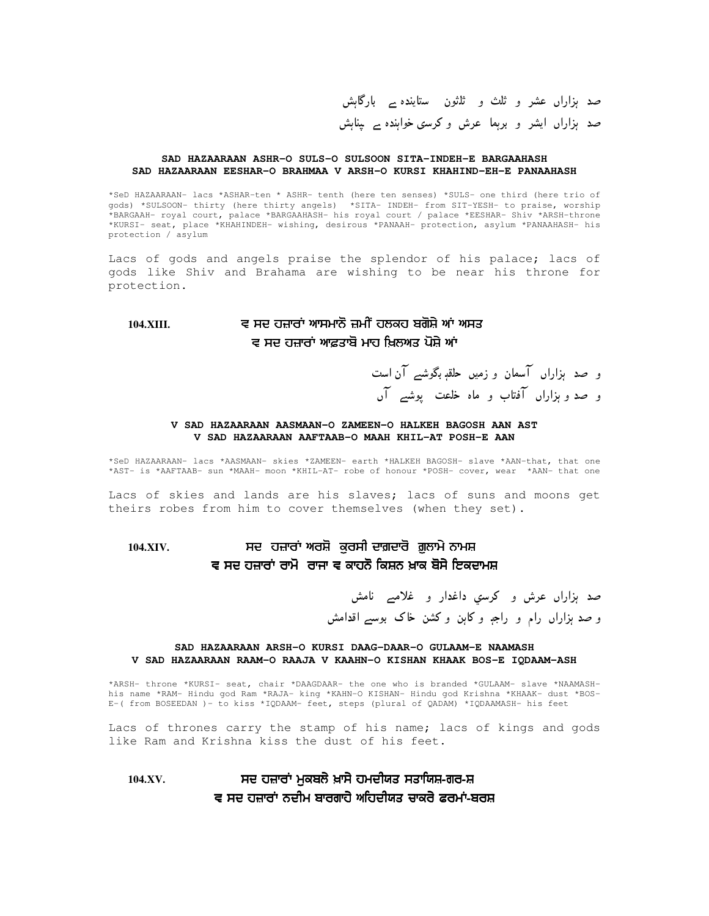صد ہزاراں عشر و ثلث و ثلثون ستایندہ بے بارگاہش صد ہزاراں ایشر و برہما عرش وکرسی خواہندہ بے پناہش

#### **SAD HAZAARAAN ASHR-O SULS-O SULSOON SITA-INDEH-E BARGAAHASH SAD HAZAARAAN EESHAR-O BRAHMAA V ARSH-O KURSI KHAHIND-EH-E PANAAHASH**

\*SeD HAZAARAAN- lacs \*ASHAR-ten \* ASHR- tenth (here ten senses) \*SULS- one third (here trio of gods) \*SULSOON- thirty (here thirty angels) \*SITA- INDEH- from SIT-YESH- to praise, worship \*BARGAAH- royal court, palace \*BARGAAHASH- his royal court / palace \*EESHAR- Shiv \*ARSH-throne \*KURSI- seat, place \*KHAHINDEH- wishing, desirous \*PANAAH- protection, asylum \*PANAAHASH- his protection / asylum

Lacs of gods and angels praise the splendor of his palace; lacs of gods like Shiv and Brahama are wishing to be near his throne for protection.

### 104.XIII. ਵ ਸਦ ਹਜ਼ਾਰਾਂ ਆਸਮਾਨੋ ਜ਼ਮੀਂ ਹਲਕਹ ਬਗੋਸ਼ੇ ਆਂ ਅਸਤ ਵ ਸਦ ਹਜ਼ਾਰਾਂ ਆਫ਼ਤਾਬੋ ਮਾਹ ਖ਼ਿਲਅਤ ਪੋਸ਼ੇ ਆਂ

و صد ہزاراں آسمان و زمیں حلقہٖ بگوشے آن است و صد و ہزاراں آفتاب و ماہ خلعت پوشے آں

#### **V SAD HAZAARAAN AASMAAN-O ZAMEEN-O HALKEH BAGOSH AAN AST V SAD HAZAARAAN AAFTAAB-O MAAH KHIL-AT POSH-E AAN**

\*SeD HAZAARAAN- lacs \*AASMAAN- skies \*ZAMEEN- earth \*HALKEH BAGOSH- slave \*AAN-that, that one \*AST- is \*AAFTAAB- sun \*MAAH- moon \*KHIL-AT- robe of honour \*POSH- cover, wear \*AAN- that one

Lacs of skies and lands are his slaves; lacs of suns and moons get theirs robes from him to cover themselves (when they set).

### **104.XIV.** ! %% ਵ ਸਦ ਹਜ਼ਾਰਾਂ ਰਾਮੋ ਰਾਜਾ ਵ ਕਾਹਨੋ ਕਿਸ਼ਨ ਖ਼ਾਕ ਬੋਸੇ ਇਕਦਾਮਸ਼

صد ہزاراں عرش و کرسي داغدار و غلامے نامش و صد ہزاراں رام و راجہ و کاہن و کشن خاک بوسے اقدامش

#### **SAD HAZAARAAN ARSH-O KURSI DAAG-DAAR-O GULAAM-E NAAMASH V SAD HAZAARAAN RAAM-O RAAJA V KAAHN-O KISHAN KHAAK BOS-E IQDAAM-ASH**

\*ARSH- throne \*KURSI- seat, chair \*DAAGDAAR- the one who is branded \*GULAAM- slave \*NAAMASHhis name \*RAM- Hindu god Ram \*RAJA- king \*KAHN-O KISHAN- Hindu god Krishna \*KHAAK- dust \*BOS-E-( from BOSEEDAN )- to kiss \*IQDAAM- feet, steps (plural of QADAM) \*IQDAAMASH- his feet

Lacs of thrones carry the stamp of his name; lacs of kings and gods like Ram and Krishna kiss the dust of his feet.

### **104.XV.** ! % & ਵ ਸਦ ਹਜ਼ਾਰਾਂ ਨਦੀਮ ਬਾਰਗਾਹੇ ਅਹਿਦੀਯਤ ਚਾਕਰੇ ਫਰਮਾਂ-ਬਰਸ਼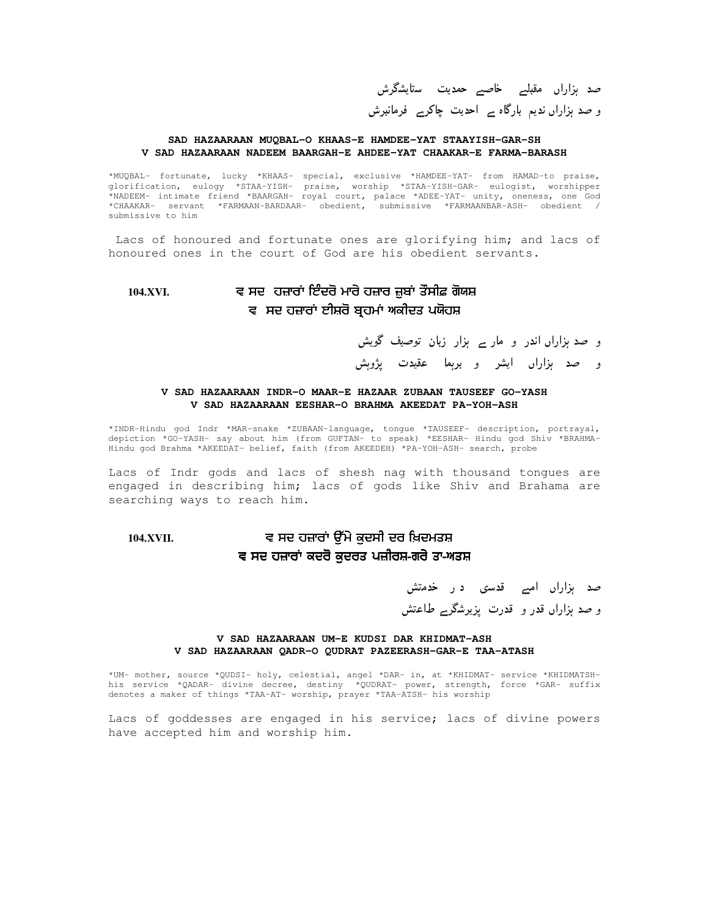صد ہزاراں مقبلے خاصبے حمدیت ستایشگرش و صد ہزاراں ندیم بارگاہ ہے احدیت چاکرے فرمانبرش

#### **SAD HAZAARAAN MUQBAL-O KHAAS-E HAMDEE-YAT STAAYISH-GAR-SH V SAD HAZAARAAN NADEEM BAARGAH-E AHDEE-YAT CHAAKAR-E FARMA-BARASH**

\*MUQBAL- fortunate, lucky \*KHAAS- special, exclusive \*HAMDEE-YAT- from HAMAD-to praise, glorification, eulogy \*STAA-YISH- praise, worship \*STAA-YISH-GAR- eulogist, worshipper \*NADEEM- intimate friend \*BAARGAH- royal court, palace \*ADEE-YAT- unity, oneness, one God \*CHAAKAR- servant \*FARMAAN-BARDAAR- obedient, submissive \*FARMAANBAR-ASH- obedient / submissive to him

Lacs of honoured and fortunate ones are glorifying him; and lacs of honoured ones in the court of God are his obedient servants.

### **104.XVI.** ! - %! \$ ਵ ਸਦ ਹਜ਼ਾਰਾਂ ਈਸ਼ਰੋ ਬ੍ਰਹਮਾਂ ਅਕੀਦਤ ਪਯੋਹਸ਼

و صد ہزاراں اندر و مار ے ہزار زبان توصیف گویش

و صد ہزاراں ایشر و برہما عقیدت پژوہش

#### **V SAD HAZAARAAN INDR-O MAAR-E HAZAAR ZUBAAN TAUSEEF GO-YASH V SAD HAZAARAAN EESHAR-O BRAHMA AKEEDAT PA-YOH-ASH**

\*INDR-Hindu god Indr \*MAR-snake \*ZUBAAN-language, tongue \*TAUSEEF- description, portrayal, depiction \*GO-YASH- say about him (from GUFTAN- to speak) \*EESHAR- Hindu god Shiv \*BRAHMA-Hindu god Brahma \*AKEEDAT- belief, faith (from AKEEDEH) \*PA-YOH-ASH- search, probe

Lacs of Indr gods and lacs of shesh nag with thousand tongues are engaged in describing him; lacs of gods like Shiv and Brahama are searching ways to reach him.

### **104.XVII.** ! ,%# % & ਵ ਸਦ ਹਜ਼ਾਰਾਂ ਕਦਰੋ ਕੁਦਰਤ ਪਜ਼ੀਰਸ਼-ਗਰੇ ਤਾ-ਅਤਸ਼

صد ہزاراں امبے قدسی در خدمتش و صد ہزاراں قدر و قدرت پزیرشگرے طاعتش

#### **V SAD HAZAARAAN UM-E KUDSI DAR KHIDMAT-ASH V SAD HAZAARAAN QADR-O QUDRAT PAZEERASH-GAR-E TAA-ATASH**

\*UM- mother, source \*QUDSI- holy, celestial, angel \*DAR- in, at \*KHIDMAT- service \*KHIDMATSHhis service \*QADAR- divine decree, destiny \*QUDRAT- power, strength, force \*GAR- suffix denotes a maker of things \*TAA-AT- worship, prayer \*TAA-ATSH- his worship

Lacs of goddesses are engaged in his service; lacs of divine powers have accepted him and worship him.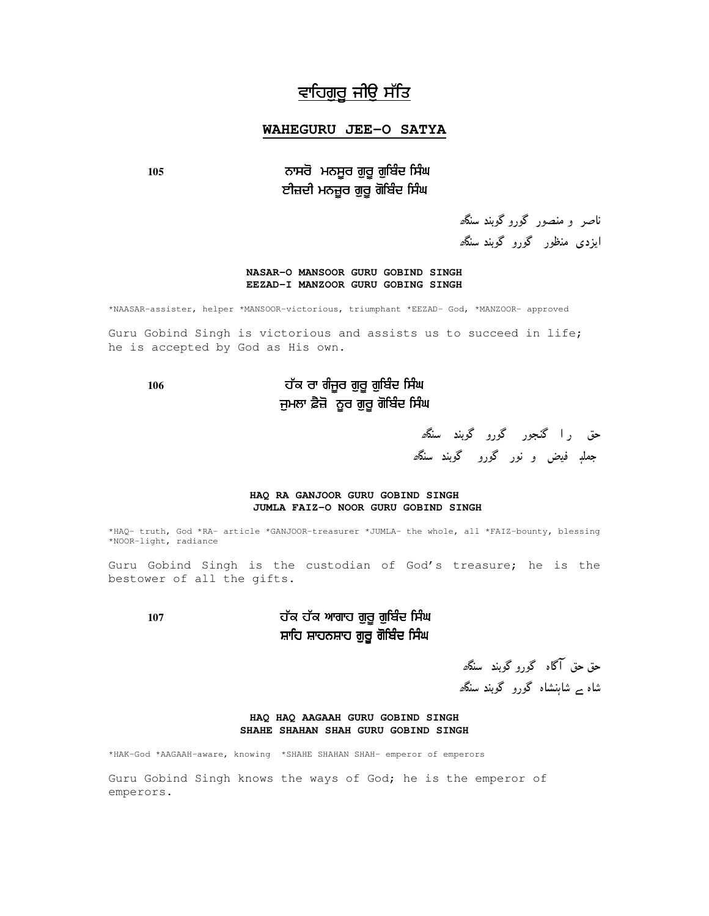# <u>ਵਾਹਿਗੁਰੂ ਜੀਉ ਸੱਤਿ</u>

#### **WAHEGURU JEE-O SATYA**

### 105 ਨਾਸਰੋ ਮਨਸੂਰ ਗੁਰੂ ਗੁਬਿੰਦ ਸਿੰਘ ਈਜ਼ਦੀ ਮਨਜ਼ੂਰ ਗੁਰੂ ਗੋਬਿੰਦ ਸਿੰਘ

ناصر و منصور گوروگوبند سن*گھ* ایزدی منظور گورو گوبند سنگ*ھ* 

#### **NASAR-O MANSOOR GURU GOBIND SINGH EEZAD-I MANZOOR GURU GOBING SINGH**

\*NAASAR-assister, helper \*MANSOOR-victorious, triumphant \*EEZAD- God, \*MANZOOR- approved

Guru Gobind Singh is victorious and assists us to succeed in life; he is accepted by God as His own.

### 106 ਹੱਕ ਰਾ ਗੰਜੂਰ ਗੁਰੂ ਗੁਬਿੰਦ ਸਿੰਘ ਜੁਮਲਾ ਫ਼ੈਜ਼ੋ ਨੂਰ ਗੁਰੂ ਗੋਬਿੰਦ ਸਿੰਘ

حق را گنجور گورو گوبند سنگ*ھ* ج*ملڊ فيض و نور گورو گوب*ند سنگ*ھ* 

#### **HAQ RA GANJOOR GURU GOBIND SINGH JUMLA FAIZ-O NOOR GURU GOBIND SINGH**

\*HAQ- truth, God \*RA- article \*GANJOOR-treasurer \*JUMLA- the whole, all \*FAIZ-bounty, blessing \*NOOR-light, radiance

Guru Gobind Singh is the custodian of God's treasure; he is the bestower of all the gifts.

### **107** # # %'%- -- ਸ਼ਾਹਿ ਸ਼ਾਹਨਸ਼ਾਹ ਗੁਰੂ ਗੋਬਿੰਦ ਸਿੰਘ

حق حق آگاه گورو گوبند سنگ*ھ* شاہ <sub>ے</sub> شاہنشاہ گورو گوبند سنگ*ھ* 

#### **HAQ HAQ AAGAAH GURU GOBIND SINGH SHAHE SHAHAN SHAH GURU GOBIND SINGH**

\*HAK-God \*AAGAAH-aware, knowing \*SHAHE SHAHAN SHAH- emperor of emperors

Guru Gobind Singh knows the ways of God; he is the emperor of emperors.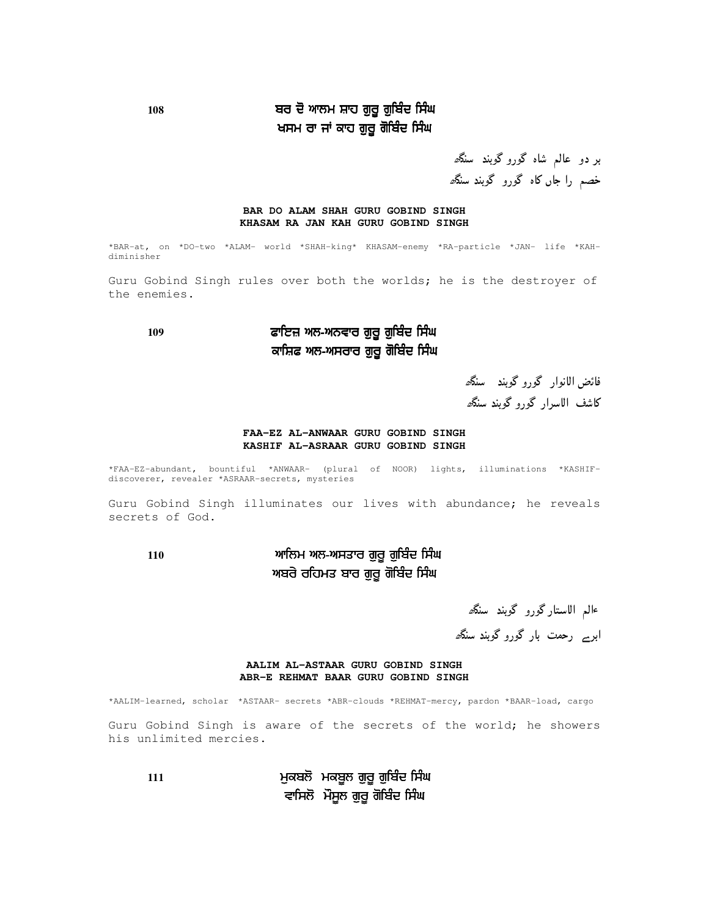### 108 ਬਰ ਦੋ ਆਲਮ ਸ਼ਾਹ ਗੁਰੂ ਗੁਬਿੰਦ ਸਿੰਘ ਖਸਮ ਰਾ ਜਾਂ ਕਾਹ ਗੁਰੂ ਗੋਬਿੰਦ ਸਿੰਘ

بر دو عالم شاه گورو گوبند سنگھ خصم را جاں کاہ گورو گوبند سنگ*ھ* 

#### **BAR DO ALAM SHAH GURU GOBIND SINGH KHASAM RA JAN KAH GURU GOBIND SINGH**

\*BAR-at, on \*DO-two \*ALAM- world \*SHAH-king\* KHASAM-enemy \*RA-particle \*JAN- life \*KAHdiminisher

Guru Gobind Singh rules over both the worlds; he is the destroyer of the enemies.

### **<sup>109</sup>** ( %'%- -- ਕਾਸ਼ਿਫ ਅਲ-ਅਸਰਾਰ ਗੁਰੂ ਗੋਬਿੰਦ ਸਿੰਘ

فائض الانوار گورو گوبند سنگھ

كاشف الاسرار گورو گوبند سنگھ

#### **FAA-EZ AL-ANWAAR GURU GOBIND SINGH KASHIF AL-ASRAAR GURU GOBIND SINGH**

\*FAA-EZ-abundant, bountiful \*ANWAAR- (plural of NOOR) lights, illuminations \*KASHIFdiscoverer, revealer \*ASRAAR-secrets, mysteries

Guru Gobind Singh illuminates our lives with abundance; he reveals secrets of God.

**<sup>110</sup>** %'%- -- ਅਬਰੇ ਰਹਿਮਤ ਬਾਰ ਗੁਰੂ ਗੋਬਿੰਦ ਸਿੰਘ

ءالم ال**استار گورو گوبند سنگ**ھ ابر<sub>ے ر</sub>حمت بار گورو گوبند سنگ*ھ* 

#### **AALIM AL-ASTAAR GURU GOBIND SINGH ABR-E REHMAT BAAR GURU GOBIND SINGH**

\*AALIM-learned, scholar \*ASTAAR- secrets \*ABR-clouds \*REHMAT-mercy, pardon \*BAAR-load, cargo

Guru Gobind Singh is aware of the secrets of the world; he showers his unlimited mercies.

**111** % ' %'%- -- ਵਾਸਿਲੋਂ ਮੌਸੂਲ ਗੁਰੂ ਗੋਬਿੰਦ ਸਿੰਘ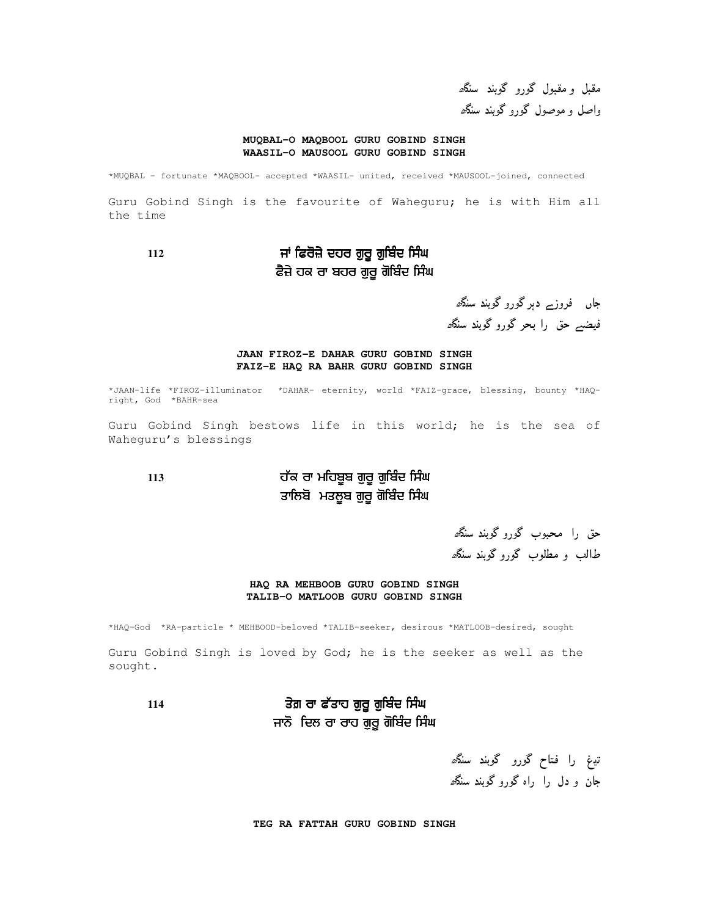مقبل و مقبول گورو گوبند سنگ*ھ* واصل و موصول گورو گوبند سنگھ

#### **MUQBAL-O MAQBOOL GURU GOBIND SINGH WAASIL-O MAUSOOL GURU GOBIND SINGH**

\*MUQBAL – fortunate \*MAQBOOL- accepted \*WAASIL- united, received \*MAUSOOL-joined, connected

Guru Gobind Singh is the favourite of Waheguru; he is with Him all the time

**<sup>112</sup>** ) ( %'%- -- ਫੈਜ਼ੇ ਹਕ ਰਾ ਬਹਰ ਗੁਰੂ ਗੋਬਿੰਦ ਸਿੰਘ

جاں فروزے دہر گورو گوبند سنگھ فیضبے حق را بحر گورو گوبند سنگھ

#### **JAAN FIROZ-E DAHAR GURU GOBIND SINGH FAIZ-E HAQ RA BAHR GURU GOBIND SINGH**

\*JAAN-life \*FIROZ-illuminator \*DAHAR- eternity, world \*FAIZ-grace, blessing, bounty \*HAQright, God \*BAHR-sea

Guru Gobind Singh bestows life in this world; he is the sea of Waheguru's blessings

### 113 ਹੱਕ ਰਾ ਮਹਿਬੂਬ ਗੁਰੂ ਗੁਬਿੰਦ ਸਿੰਘ ਤਾਲਿਬੋ ਮਤਲੂਬ ਗੁਰੂ ਗੋਬਿੰਦ ਸਿੰਘ

حق را محبوب گورو گوبند سنگھ طالب و مطلوب گورو گوبند سنگ*ھ* 

#### **HAQ RA MEHBOOB GURU GOBIND SINGH TALIB-O MATLOOB GURU GOBIND SINGH**

\*HAQ-God \*RA-particle \* MEHBOOD-beloved \*TALIB-seeker, desirous \*MATLOOB-desired, sought

Guru Gobind Singh is loved by God; he is the seeker as well as the sought.

**114** (# %'%- -- ਜਾਨੋ ਦਿਲ ਰਾ ਰਾਹ ਗੁਰੂ ਗੋਬਿੰਦ ਸਿੰਘ

> تيغ را فتاح گورو گوبند سن*گھ* جان و دل را راه گورو گوبند سنگ*ھ*

**TEG RA FATTAH GURU GOBIND SINGH**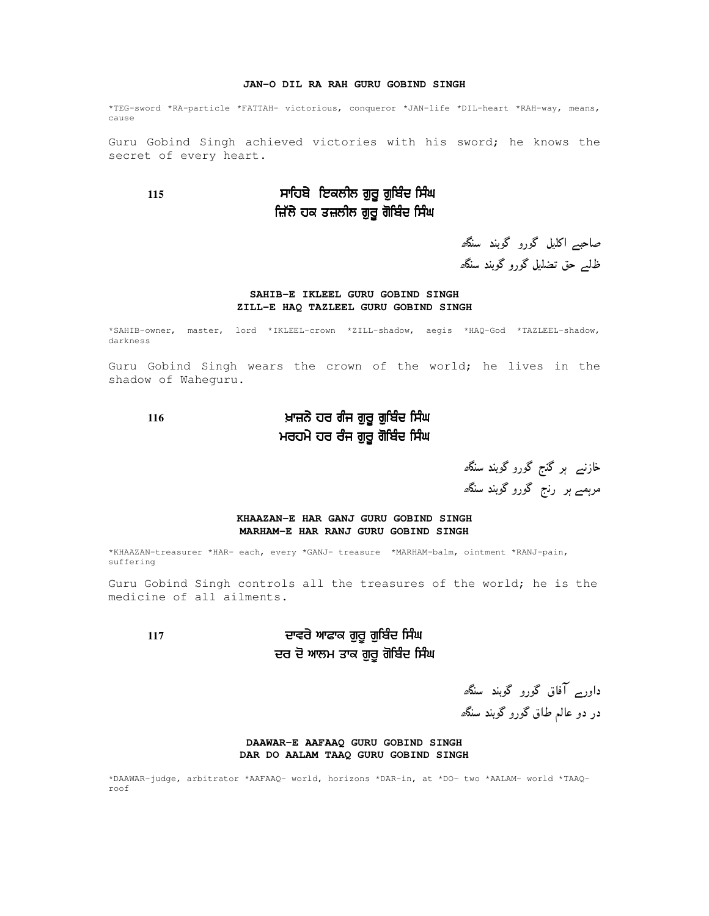#### **JAN-O DIL RA RAH GURU GOBIND SINGH**

\*TEG-sword \*RA-particle \*FATTAH- victorious, conqueror \*JAN-life \*DIL-heart \*RAH-way, means, cause

Guru Gobind Singh achieved victories with his sword; he knows the secret of every heart.

### **115**  %'%- -- ਜ਼ਿੱਲੇ ਹਕ ਤਜ਼ਲੀਲ ਗੁਰੂ ਗੋਬਿੰਦ ਸਿੰਘ

صاحبے اکلیل گورو گوبند سنگ<sup>ی</sup> ظلیے حق تضلیل گورو گوبند سنگ<sup>ی</sup>

#### **SAHIB-E IKLEEL GURU GOBIND SINGH ZILL-E HAQ TAZLEEL GURU GOBIND SINGH**

\*SAHIB-owner, master, lord \*IKLEEL-crown \*ZILL-shadow, aegis \*HAQ-God \*TAZLEEL-shadow, darkness

Guru Gobind Singh wears the crown of the world; he lives in the shadow of Waheguru.

### **116** & - %'%- -- ਮਰਹਮੇ ਹਰ ਰੰਜ ਗੁਰੂ ਗੋਬਿੰਦ ਸਿੰਘ

خازنے ہر گنج گورو گوبند سنگ*ھ* مرہمے ہر رنج گورو گوبند سنگھ

#### **KHAAZAN-E HAR GANJ GURU GOBIND SINGH MARHAM-E HAR RANJ GURU GOBIND SINGH**

\*KHAAZAN-treasurer \*HAR- each, every \*GANJ- treasure \*MARHAM-balm, ointment \*RANJ-pain, suffering

Guru Gobind Singh controls all the treasures of the world; he is the medicine of all ailments.

### 117 ਦਾਵਰੇ ਆਫਾਕ ਗੁਰੂ ਗੁਬਿੰਦ ਸਿੰਘ ਦਰ ਦੋ ਆਲਮ ਤਾਕ ਗੁਰੂ ਗੋਬਿੰਦ ਸਿੰਘ

داور بر آفاق گورو گوبند سنگھ در دو عالم طاق گورو گوبند سنگ*ھ* 

#### **DAAWAR-E AAFAAQ GURU GOBIND SINGH DAR DO AALAM TAAQ GURU GOBIND SINGH**

\*DAAWAR-judge, arbitrator \*AAFAAQ- world, horizons \*DAR-in, at \*DO- two \*AALAM- world \*TAAQroof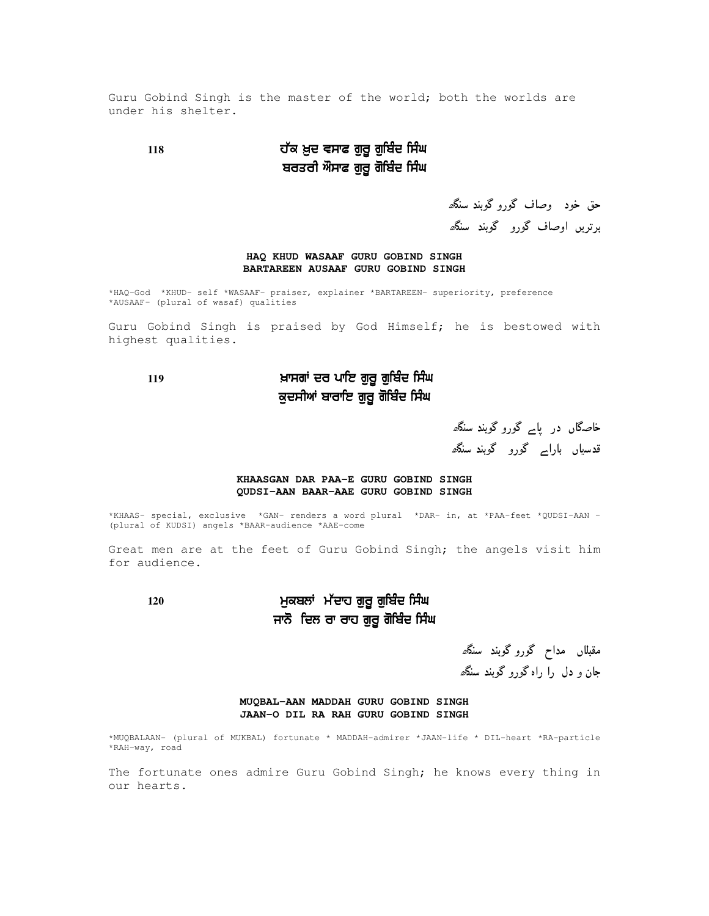Guru Gobind Singh is the master of the world; both the worlds are under his shelter.

### **118** # &% ( %'%- -- ਬਰਤਰੀ ਔਸਾਫ ਗੁਰੂ ਗੋਬਿੰਦ ਸਿੰਘ

حق خود وصاف گورو گوبند سنگھ برتریں اوصاف گورو گوبند سنگھ

#### **HAQ KHUD WASAAF GURU GOBIND SINGH BARTAREEN AUSAAF GURU GOBIND SINGH**

\*HAQ-God \*KHUD- self \*WASAAF- praiser, explainer \*BARTAREEN- superiority, preference \*AUSAAF- (plural of wasaf) qualities

Guru Gobind Singh is praised by God Himself; he is bestowed with highest qualities.

### **<sup>119</sup>** &) %'%- -- ਕੁਦਸੀਆਂ ਬਾਰਾਇ ਗੁਰੂ ਗੋਬਿੰਦ ਸਿੰਘ

خاصگاں در پاسر گورو گوبند سنگھ قدسیاں بارا<sub>ک</sub> گورو گوبند *سنگ<sup>ھ*</sup>

#### **KHAASGAN DAR PAA-E GURU GOBIND SINGH QUDSI-AAN BAAR-AAE GURU GOBIND SINGH**

\*KHAAS- special, exclusive \*GAN- renders a word plural \*DAR- in, at \*PAA-feet \*QUDSI-AAN – (plural of KUDSI) angels \*BAAR-audience \*AAE-come

Great men are at the feet of Guru Gobind Singh; the angels visit him for audience.

### **<sup>120</sup>** % ) # %'%- -- ਜਾਨੋ ਦਿਲ ਰਾ ਰਾਹ ਗੁਰੂ ਗੋਬਿੰਦ ਸਿੰਘ

مقبلاں مداح گوروگوبند *سنگھ* جان و دل را راه گورو گوبند سنگه

**MUQBAL-AAN MADDAH GURU GOBIND SINGH JAAN-O DIL RA RAH GURU GOBIND SINGH**

\*MUQBALAAN- (plural of MUKBAL) fortunate \* MADDAH-admirer \*JAAN-life \* DIL-heart \*RA-particle \*RAH-way, road

The fortunate ones admire Guru Gobind Singh; he knows every thing in our hearts.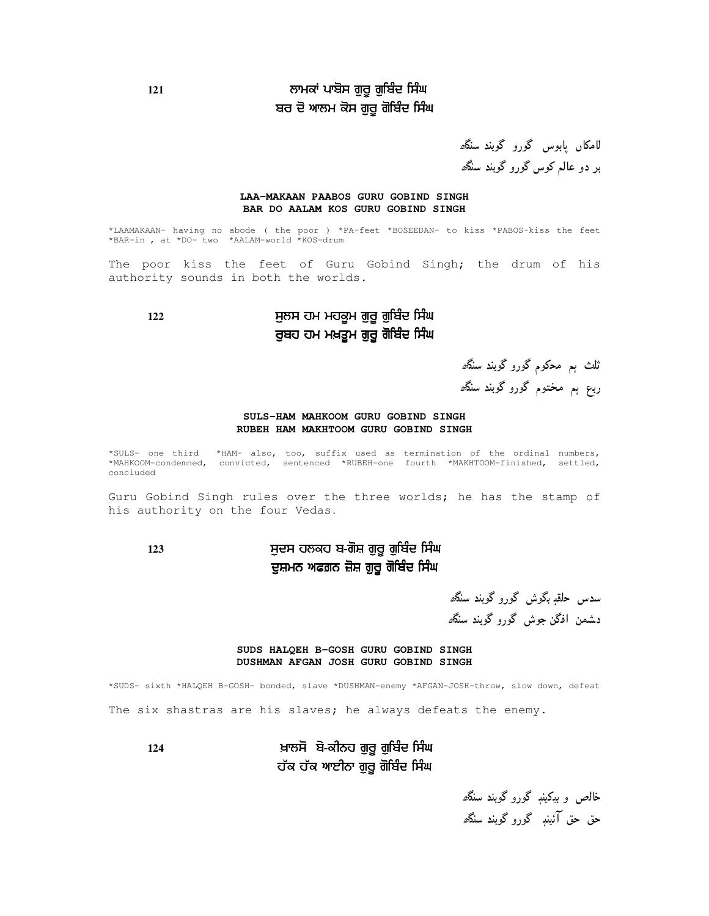### **<sup>121</sup>** ) %'%- -- ਬਰ ਦੋ ਆਲਮ ਕੋਸ ਗੁਰੂ ਗੋਬਿੰਦ ਸਿੰਘ

لامکاں پابوس گورو گوبند سنگھ بر دو عالم کوس گورو گوبند سنگھ

#### **LAA-MAKAAN PAABOS GURU GOBIND SINGH BAR DO AALAM KOS GURU GOBIND SINGH**

\*LAAMAKAAN- having no abode ( the poor ) \*PA-feet \*BOSEEDAN- to kiss \*PABOS-kiss the feet \*BAR-in , at \*DO- two \*AALAM-world \*KOS-drum

The poor kiss the feet of Guru Gobind Singh; the drum of his authority sounds in both the worlds.

### **122** % ' %'%- -- ਰੁਬਹ ਹਮ ਮਖ਼ਤੂਮ ਗੁਰੂ ਗੋਬਿੰਦ ਸਿੰਘ

ثلث ہم محکوم گورو گوبند سنگ*ھ* ربع ہم مختوم گورو گوبند سنگ*ھ* 

#### **SULS-HAM MAHKOOM GURU GOBIND SINGH RUBEH HAM MAKHTOOM GURU GOBIND SINGH**

\*SULS- one third \*HAM- also, too, suffix used as termination of the ordinal numbers, \*MAHKOOM-condemned, convicted, sentenced \*RUBEH-one fourth \*MAKHTOOM-finished, settled, concluded

Guru Gobind Singh rules over the three worlds; he has the stamp of his authority on the four Vedas**.**

### **<sup>123</sup>** %  %'%- -- ਦੁਸ਼ਮਨ ਅਫਗ਼ਨ ਜ਼ੋਸ਼ ਗੁਰੂ ਗੋਬਿੰਦ ਸਿੰਘ

سدس حلقږ بگوش گورو گوبند سنگ*ھ* دشمن افگن جوش گورو گوبند سنگ*ھ* 

#### **SUDS HALQEH B-GOSH GURU GOBIND SINGH DUSHMAN AFGAN JOSH GURU GOBIND SINGH**

\*SUDS- sixth \*HALQEH B-GOSH- bonded, slave \*DUSHMAN-enemy \*AFGAN-JOSH-throw, slow down, defeat The six shastras are his slaves; he always defeats the enemy.

**124** &  %'%- -- ਹੱਕ ਹੱਕ ਆਈਨਾ ਗੁਰੂ ਗੋਬਿੰਦ ਸਿੰਘ

> خالص و بیکینږ گورو گوبند سنگ*ھ* حق حق آئينڊ گورو گوبند سنگ*ھ*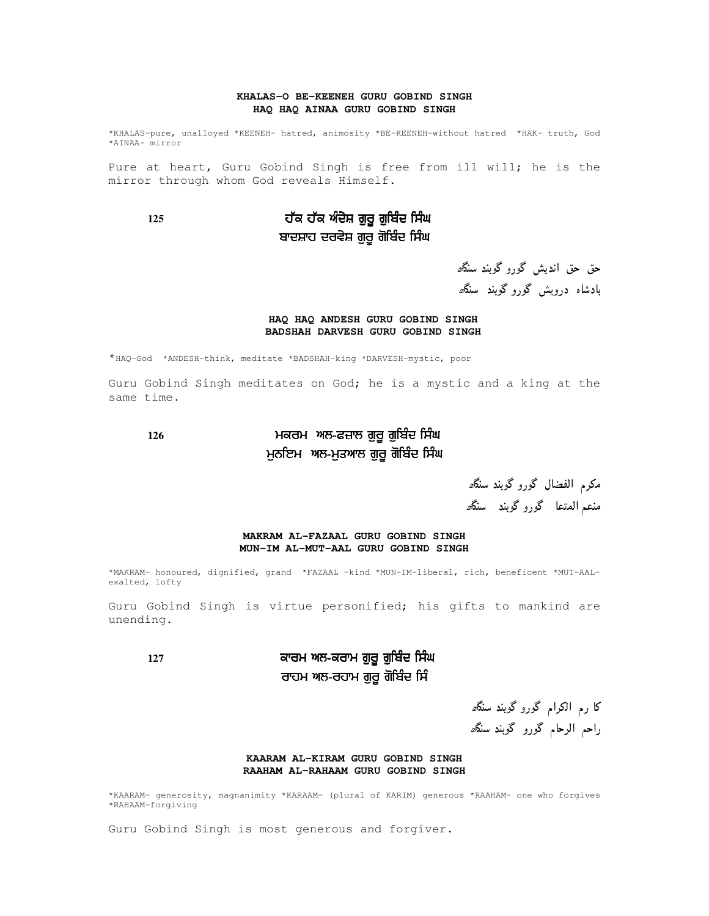#### **KHALAS-O BE-KEENEH GURU GOBIND SINGH HAQ HAQ AINAA GURU GOBIND SINGH**

\*KHALAS-pure, unalloyed \*KEENEH- hatred, animosity \*BE-KEENEH-without hatred \*HAK- truth, God \*AINAA- mirror

Pure at heart, Guru Gobind Singh is free from ill will; he is the mirror through whom God reveals Himself.

### **125** # # - %'%- -- ਬਾਦਸ਼ਾਹ ਦਰਵੇਸ਼ ਗੁਰੂ ਗੋਬਿੰਦ ਸਿੰਘ

حق حق انديش گورو گوبند سنگھ بادشاه درویش گورو گوبند سنگ*ھ* 

#### **HAQ HAQ ANDESH GURU GOBIND SINGH BADSHAH DARVESH GURU GOBIND SINGH**

\*HAQ-God \*ANDESH-think, meditate \*BADSHAH-king \*DARVESH-mystic, poor

Guru Gobind Singh meditates on God; he is a mystic and a king at the same time.

### **<sup>126</sup>**  ( %'%- -- ਮੁਨਇਮ ਅਲ-ਮੁਤਆਲ ਗੁਰੂ ਗੋਬਿੰਦ ਸਿੰਘ

مكرم الفضال گورو گوبند سنگ*ھ* منعم المتعا گورو گوبند سنگ*ھ* 

#### **MAKRAM AL-FAZAAL GURU GOBIND SINGH MUN-IM AL-MUT-AAL GURU GOBIND SINGH**

\*MAKRAM- honoured, dignified, grand \*FAZAAL –kind \*MUN-IM-liberal, rich, beneficent \*MUT-AALexalted, lofty

Guru Gobind Singh is virtue personified; his gifts to mankind are unending.

### **<sup>127</sup>**   %'%- -- ਰਾਹਮ ਅਲ-ਰਹਾਮ ਗੁਰੂ ਗੋਬਿੰਦ ਸਿੰ

کا رم الکرام گورو گوبند سنگھ راحم الرحام گورو گوبند سنگھ

#### **KAARAM AL-KIRAM GURU GOBIND SINGH RAAHAM AL-RAHAAM GURU GOBIND SINGH**

\*KAARAM- generosity, magnanimity \*KARAAM- (plural of KARIM) generous \*RAAHAM- one who forgives \*RAHAAM-forgiving

Guru Gobind Singh is most generous and forgiver.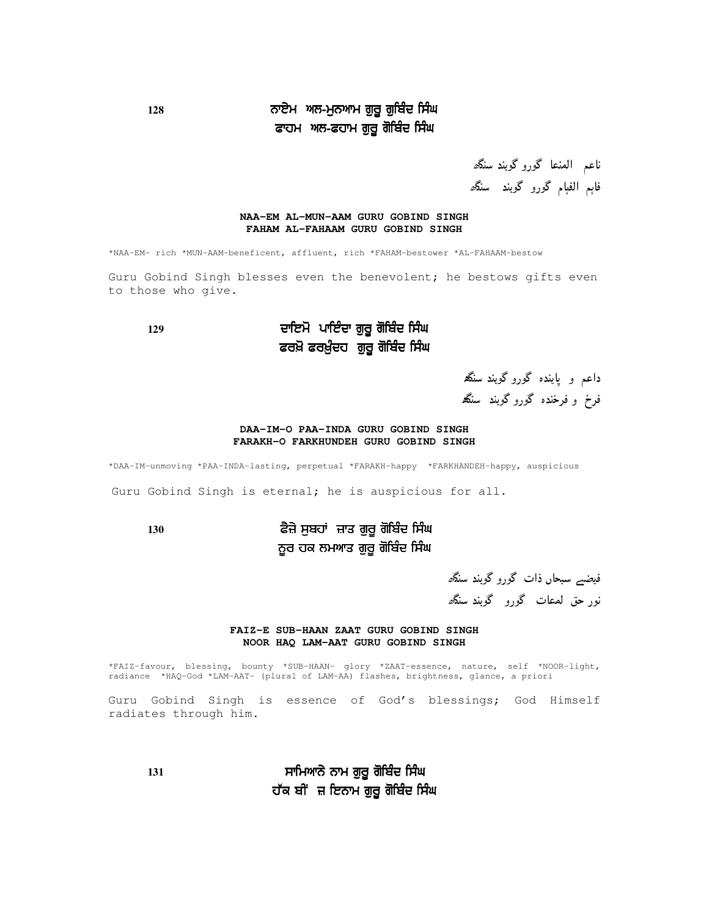### 128 ਨਾਏਮ ਅਲ-ਮੁਨਆਮ ਗੁਰੂ ਗੁਬਿੰਦ ਸਿੰਘ ਫਾਹਮ ਅਲ-ਫਹਾਮ ਗੁਰੂ ਗੋਬਿੰਦ ਸਿੰਘ

ناعم المنعا گورو گوبند سنگ*ھ* فاہم الفہام گورو گوبند سنگ*ھ* 

#### **NAA-EM AL-MUN-AAM GURU GOBIND SINGH FAHAM AL-FAHAAM GURU GOBIND SINGH**

\*NAA-EM- rich \*MUN-AAM-beneficent, affluent, rich \*FAHAM-bestower \*AL-FAHAAM-bestow

Guru Gobind Singh blesses even the benevolent; he bestows gifts even to those who give.

### **129** - %'- -- ਫਰਖ਼ੋ ਫਰਖ਼ੁੰਦਹ ਗੁਰੂ ਗੋਬਿੰਦ ਸਿੰਘ

داعم و پاینده گورو گوبند سنگھ فرخ و فرخنده گورو گوبند سنگھ

#### **DAA-IM-O PAA-INDA GURU GOBIND SINGH FARAKH-O FARKHUNDEH GURU GOBIND SINGH**

\*DAA-IM-unmoving \*PAA-INDA-lasting, perpetual \*FARAKH-happy \*FARKHANDEH-happy, auspicious

Guru Gobind Singh is eternal; he is auspicious for all.

**130** (+ %) %'- -- ਨੂਰ ਹਕ ਲਮਆਤ ਗੁਰੂ ਗੋਬਿੰਦ ਸਿੰਘ

فیضیے سبحاں ذات گورو گوبند سنگھ نور حق لمعات گورو گوبند سنگھ

#### **FAIZ-E SUB-HAAN ZAAT GURU GOBIND SINGH NOOR HAQ LAM-AAT GURU GOBIND SINGH**

\*FAIZ-favour, blessing, bounty \*SUB-HAAN- glory \*ZAAT-essence, nature, self \*NOOR-light, radiance \*HAQ-God \*LAM-AAT- (plural of LAM-AA) flashes, brightness, glance, a priori

Guru Gobind Singh is essence of God's blessings; God Himself radiates through him.

**131** %'- -- ਹੱਕ ਬੀਂ ਜ਼ ਇਨਾਮ ਗੁਰੂ ਗੋਬਿੰਦ ਸਿੰਘ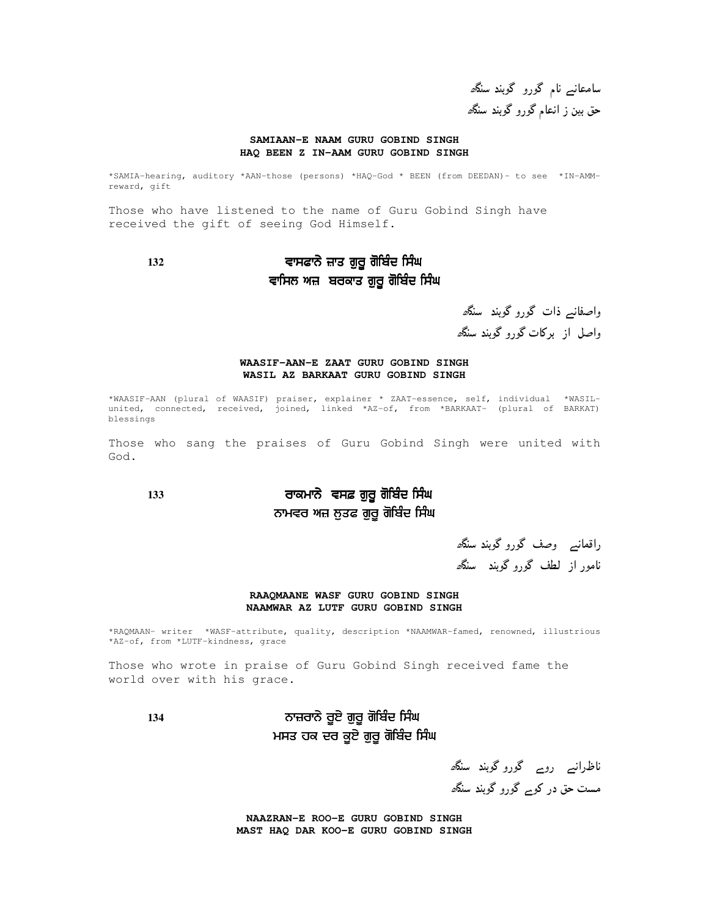سامعانے نام گورو گوبند سنگ<sup>ر</sup> حق بین ز انعام گورو گوبند سنگ*ھ* 

#### **SAMIAAN-E NAAM GURU GOBIND SINGH HAQ BEEN Z IN-AAM GURU GOBIND SINGH**

\*SAMIA-hearing, auditory \*AAN-those (persons) \*HAQ-God \* BEEN (from DEEDAN)- to see \*IN-AMMreward, gift

Those who have listened to the name of Guru Gobind Singh have received the gift of seeing God Himself.

### **132** ( %'- -- ਵਾਸਿਲ ਅਜ਼ ਬਰਕਾਤ ਗੁਰੂ ਗੋਬਿੰਦ ਸਿੰਘ

واصفانیہ ذات گورو گوبند سنگھ واصل از پرکات گورو گویند سنگھ

#### **WAASIF-AAN-E ZAAT GURU GOBIND SINGH WASIL AZ BARKAAT GURU GOBIND SINGH**

\*WAASIF-AAN (plural of WAASIF) praiser, explainer \* ZAAT-essence, self, individual \*WASILunited, connected, received, joined, linked \*AZ-of, from \*BARKAAT- (plural of BARKAT) blessings

Those who sang the praises of Guru Gobind Singh were united with God.

### **133**  \$ %'- -- ਨਾਮਵਰ ਅਜ਼ ਲੁਤਫ ਗੁਰੂ ਗੋਬਿੰਦ ਸਿੰਘ

راقمانیے وصف گورو گوبند سنگھ نامور از لطف گورو گوبند سنگھ

#### **RAAQMAANE WASF GURU GOBIND SINGH NAAMWAR AZ LUTF GURU GOBIND SINGH**

\*RAQMAAN- writer \*WASF-attribute, quality, description \*NAAMWAR-famed, renowned, illustrious \*AZ-of, from \*LUTF-kindness, grace

Those who wrote in praise of Guru Gobind Singh received fame the world over with his grace.

### 134 ਨਾਜ਼ਰਾਨੇ ਰੂਏ ਗੁਰੂ ਗੋਬਿੰਦ ਸਿੰਘ ਮਸਤ ਹਕ ਦਰ ਕੂਏ ਗੁਰੂ ਗੋਬਿੰਦ ਸਿੰਘ

ناظرانسر روس<sup>6</sup>گوروگوبند سنگ*ھ* مست حق در کوبے گورو گوبند سنگھ

**NAAZRAN-E ROO-E GURU GOBIND SINGH MAST HAQ DAR KOO-E GURU GOBIND SINGH**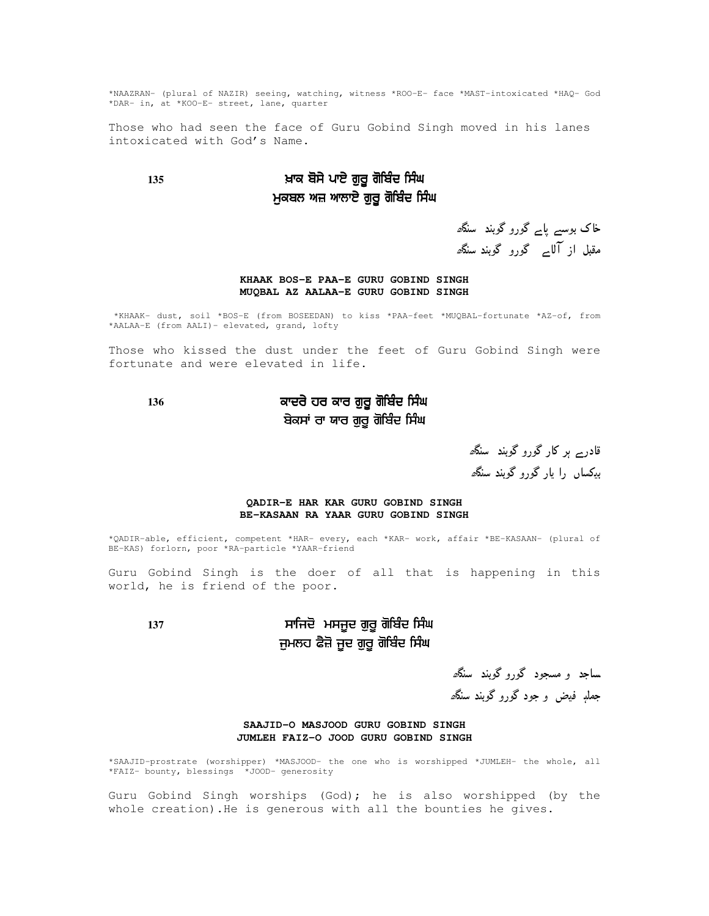\*NAAZRAN- (plural of NAZIR) seeing, watching, witness \*ROO-E- face \*MAST-intoxicated \*HAQ- God \*DAR- in, at \*KOO-E- street, lane, quarter

Those who had seen the face of Guru Gobind Singh moved in his lanes intoxicated with God's Name.

### **135** & %'- -- ਮੁਕਬਲ ਅਜ਼ ਆਲਾਏ ਗੁਰੂ ਗੋਬਿੰਦ ਸਿੰਘ

خاک بوسے پا<sub>ے</sub> گورو گوبند سن*گھ* مقبل از آلا<sub>ے</sub> گورو گوبند سن*گھ* 

#### **KHAAK BOS-E PAA-E GURU GOBIND SINGH MUQBAL AZ AALAA-E GURU GOBIND SINGH**

\*KHAAK- dust, soil \*BOS-E (from BOSEEDAN) to kiss \*PAA-feet \*MUQBAL-fortunate \*AZ-of, from \*AALAA-E (from AALI)- elevated, grand, lofty

Those who kissed the dust under the feet of Guru Gobind Singh were fortunate and were elevated in life.

### **136**   %'- -- ਬੇਕਸਾਂ ਰਾ ਯਾਰ ਗੁਰੂ ਗੋਬਿੰਦ ਸਿੰਘ

قادر<sub>ے ہ</sub>ر کار گورو گوبند سنگ*ھ* ددکساں را بار گورو گوپند سنگھ

#### **QADIR-E HAR KAR GURU GOBIND SINGH BE-KASAAN RA YAAR GURU GOBIND SINGH**

\*QADIR-able, efficient, competent \*HAR- every, each \*KAR- work, affair \*BE-KASAAN- (plural of BE-KAS) forlorn, poor \*RA-particle \*YAAR-friend

Guru Gobind Singh is the doer of all that is happening in this world, he is friend of the poor.

### **137** ' %'- -- ਜੁਮਲਹ ਫੈਜ਼ੋ ਜੂਦ ਗੁਰੂ ਗੋਬਿੰਦ ਸਿੰਘ

ساجد و مسجود گوروگوبند سنگ*ھ* جملې فيض و جود گورو گوبند سنگ*ھ* 

#### **SAAJID-O MASJOOD GURU GOBIND SINGH JUMLEH FAIZ-O JOOD GURU GOBIND SINGH**

\*SAAJID-prostrate (worshipper) \*MASJOOD- the one who is worshipped \*JUMLEH- the whole, all \*FAIZ- bounty, blessings \*JOOD- generosity

Guru Gobind Singh worships (God); he is also worshipped (by the whole creation).He is generous with all the bounties he gives.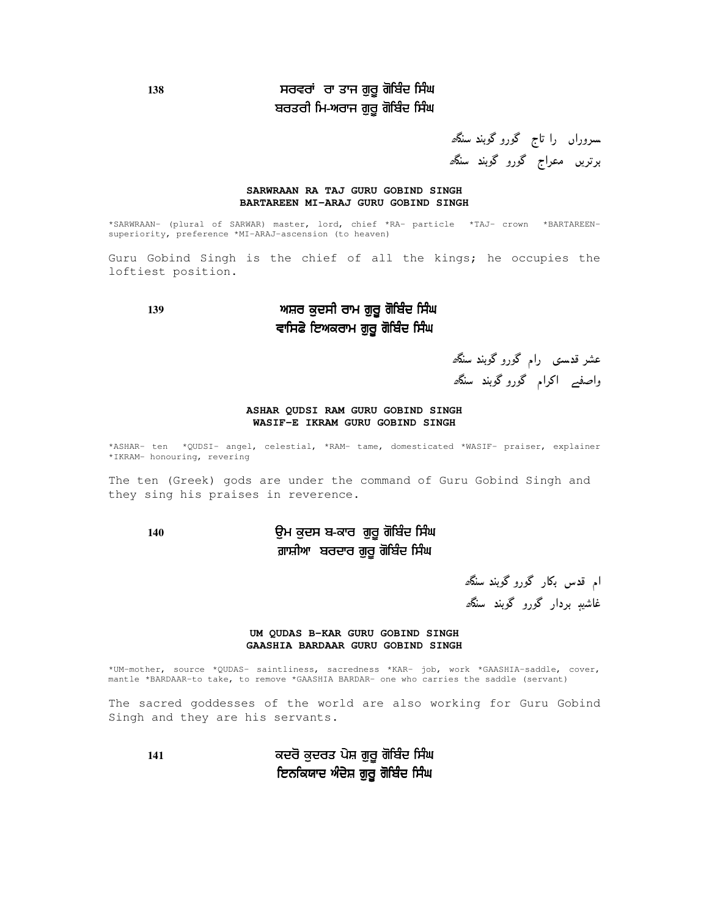### **<sup>138</sup>** ) %'- -- ਬਰਤਰੀ ਮਿ-ਅਰਾਜ ਗੁਰੂ ਗੋਬਿੰਦ ਸਿੰਘ

سىروراں را تاج گورو گوبند سن*گھ* برتریں معراج گورو گوبند سنگ*ھ* 

#### **SARWRAAN RA TAJ GURU GOBIND SINGH BARTAREEN MI-ARAJ GURU GOBIND SINGH**

\*SARWRAAN- (plural of SARWAR) master, lord, chief \*RA- particle \*TAJ- crown \*BARTAREENsuperiority, preference \*MI-ARAJ-ascension (to heaven)

Guru Gobind Singh is the chief of all the kings; he occupies the loftiest position.

### **139** % %'- -- ਵਾਸਿਫੇ ਇਅਕਰਾਮ ਗੁਰੂ ਗੋਬਿੰਦ ਸਿੰਘ

عشر قدستی رام گورو گوبند سنگھ واصف<sub>ے</sub> اکرام گوروگوبند سن*گھ* 

#### **ASHAR QUDSI RAM GURU GOBIND SINGH WASIF-E IKRAM GURU GOBIND SINGH**

\*ASHAR- ten \*QUDSI- angel, celestial, \*RAM- tame, domesticated \*WASIF- praiser, explainer \*IKRAM- honouring, revering

The ten (Greek) gods are under the command of Guru Gobind Singh and they sing his praises in reverence.

### 140 ਉਮ ਕੁਦਸ ਬ-ਕਾਰ ਗੁਰੂ ਗੋਬਿੰਦ ਸਿੰਘ ਗ਼ਾਸ਼ੀਆ ਬਰਦਾਰ ਗੁਰੂ ਗੋਬਿੰਦ ਸਿੰਘ

ام قدس بکار گورو گوبند سنگھ غاشیہٖ بردار گورو گوبند سنگ*ھ* 

#### **UM QUDAS B-KAR GURU GOBIND SINGH GAASHIA BARDAAR GURU GOBIND SINGH**

\*UM-mother, source \*QUDAS- saintliness, sacredness \*KAR- job, work \*GAASHIA-saddle, cover, mantle \*BARDAAR-to take, to remove \*GAASHIA BARDAR- one who carries the saddle (servant)

The sacred goddesses of the world are also working for Guru Gobind Singh and they are his servants.

**<sup>141</sup>** % %'- -- ਇਨਕਿਯਾਦ ਅੰਦੇਸ਼ ਗੁਰੂ ਗੋਬਿੰਦ ਸਿੰਘ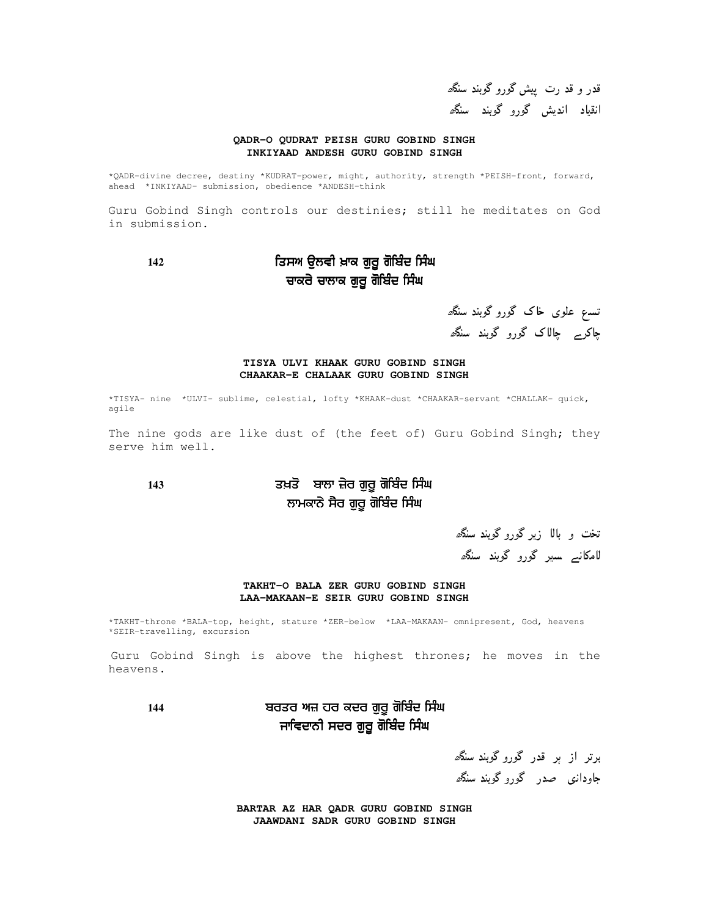قدر و قد رت پیش گورو گوبند سنگ<sup>ر</sup>ه انقیاد اندیش گورو گوبند سنگ*ھ* 

#### **QADR-O QUDRAT PEISH GURU GOBIND SINGH INKIYAAD ANDESH GURU GOBIND SINGH**

\*QADR-divine decree, destiny \*KUDRAT-power, might, authority, strength \*PEISH-front, forward, ahead \*INKIYAAD- submission, obedience \*ANDESH-think

Guru Gobind Singh controls our destinies; still he meditates on God in submission.

### **142** ,% & %'- -- ਚਾਕਰੇ ਚਾਲਾਕ ਗੁਰੂ ਗੋਬਿੰਦ ਸਿੰਘ

تسہ علوی خاک گورو گوبند سن*گھ* چاکر<sub>ے</sub> چال**اک گورو گوبند سنگ**ھ

#### **TISYA ULVI KHAAK GURU GOBIND SINGH CHAAKAR-E CHALAAK GURU GOBIND SINGH**

\*TISYA- nine \*ULVI- sublime, celestial, lofty \*KHAAK-dust \*CHAAKAR-servant \*CHALLAK- quick, agile

The nine gods are like dust of (the feet of) Guru Gobind Singh; they serve him well.

### **143** & %'- -- ਲਾਮਕਾਨੇ ਸੈਰ ਗੁਰੂ ਗੋਬਿੰਦ ਸਿੰਘ

تخت و بالا زیر گورو گوبند سنگھ ل**امکانہ سیر گورو گوبند سنگ**ھ

#### **TAKHT-O BALA ZER GURU GOBIND SINGH LAA-MAKAAN-E SEIR GURU GOBIND SINGH**

\*TAKHT-throne \*BALA-top, height, stature \*ZER-below \*LAA-MAKAAN- omnipresent, God, heavens \*SEIR-travelling, excursion

Guru Gobind Singh is above the highest thrones; he moves in the heavens.

144 ਬਰਤਰ ਅਜ਼ ਹਰ ਕਦਰ ਗੁਰੂ ਗੋਬਿੰਦ ਸਿੰਘ ਜਾਵਿਦਾਨੀ ਸਦਰ ਗੁਰੂ ਗੋਬਿੰਦ ਸਿੰਘ

برتر از ہر قدر گورو گوبند *سنگ<sup>و</sup>* جاودان<sub>گ</sub> صدر گوروگوبند سنگھ

**BARTAR AZ HAR QADR GURU GOBIND SINGH JAAWDANI SADR GURU GOBIND SINGH**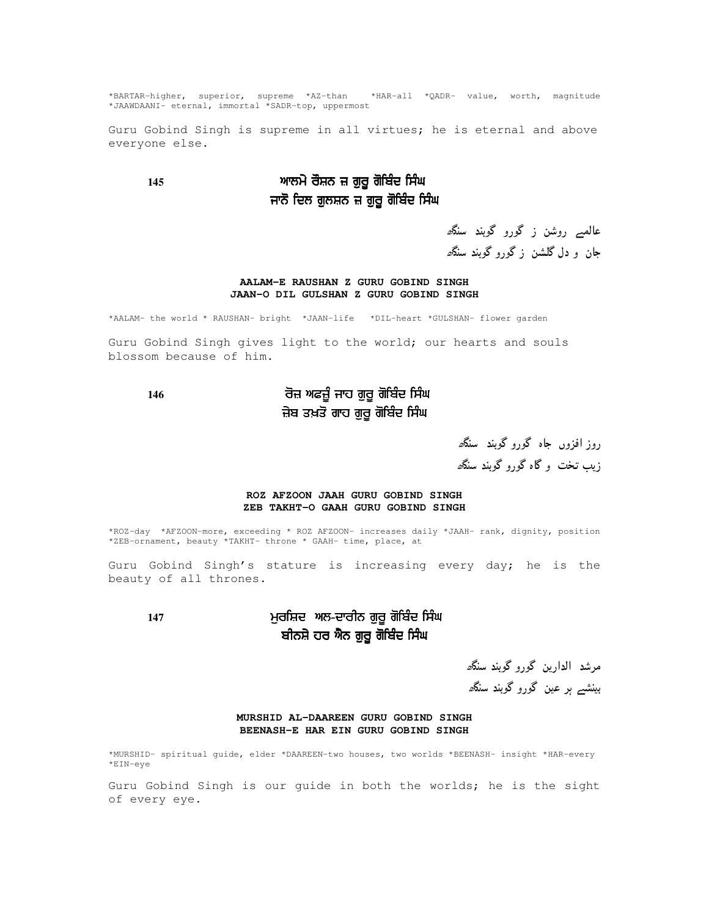\*BARTAR-higher, superior, supreme \*AZ-than \*HAR-all \*QADR- value, worth, magnitude \*JAAWDAANI- eternal, immortal \*SADR-top, uppermost

Guru Gobind Singh is supreme in all virtues; he is eternal and above everyone else.

### **145** %'- -- ਜਾਨੋ ਦਿਲ ਗੁਲਸ਼ਨ ਜ਼ ਗੁਰੂ ਗੋਬਿੰਦ ਸਿੰਘ

عالمبے روشن ز گورو گوبند سنگ*ھ* جان و دل گلشن ز گورو گوبند سنگ*ھ* 

#### **AALAM-E RAUSHAN Z GURU GOBIND SINGH JAAN-O DIL GULSHAN Z GURU GOBIND SINGH**

\*AALAM- the world \* RAUSHAN- bright \*JAAN-life \*DIL-heart \*GULSHAN- flower garden

Guru Gobind Singh gives light to the world; our hearts and souls blossom because of him.

### **146** ('- %'- -- ਜ਼ੇਬ ਤਖ਼ਤੋ ਗਾਹ ਗੁਰੂ ਗੋਬਿੰਦ ਸਿੰਘ

روز افزوں جاہ گورو گوبند سنگھ زیب تخت و گاه گورو گوبند سنگ*ھ* 

#### **ROZ AFZOON JAAH GURU GOBIND SINGH ZEB TAKHT-O GAAH GURU GOBIND SINGH**

\*ROZ-day \*AFZOON-more, exceeding \* ROZ AFZOON- increases daily \*JAAH- rank, dignity, position \*ZEB-ornament, beauty \*TAKHT- throne \* GAAH- time, place, at

Guru Gobind Singh's stature is increasing every day; he is the beauty of all thrones.

### **<sup>147</sup>** % %'- -- ਬੀਨਸ਼ੇ ਹਰ ਐਨ ਗੁਰੂ ਗੋਬਿੰਦ ਸਿੰਘ

مرشد الدارين گورو گوبند سن*گھ* بینشے ہر عین گورو گوبند سنگ*ھ* 

#### **MURSHID AL-DAAREEN GURU GOBIND SINGH BEENASH-E HAR EIN GURU GOBIND SINGH**

\*MURSHID- spiritual guide, elder \*DAAREEN-two houses, two worlds \*BEENASH- insight \*HAR-every \*EIN-eye

Guru Gobind Singh is our guide in both the worlds; he is the sight of every eye.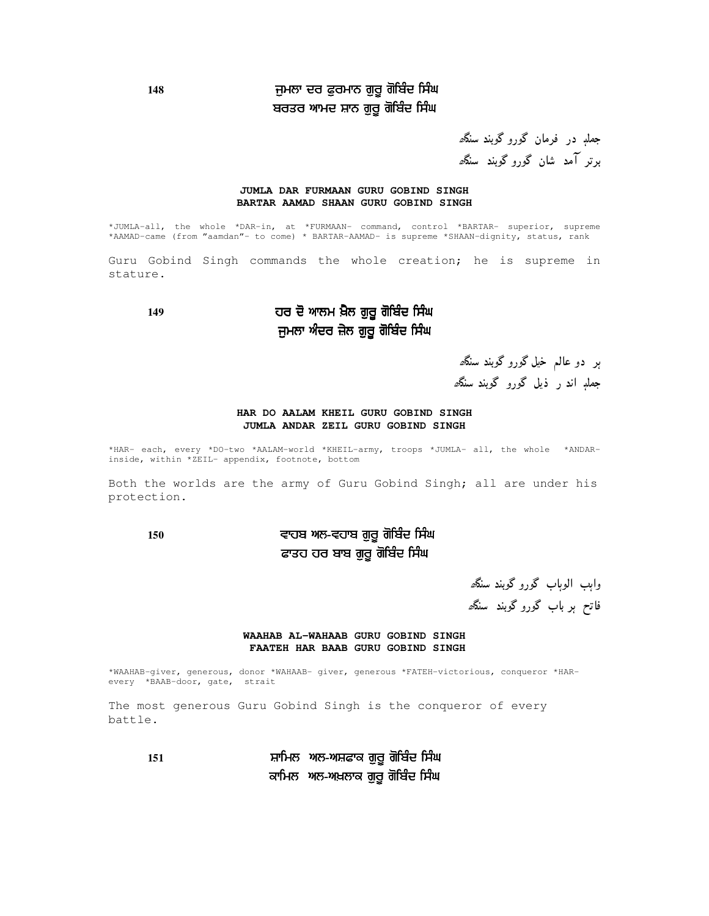### **148** % (% %'- -- ਬਰਤਰ ਆਮਦ ਸ਼ਾਨ ਗੁਰੂ ਗੋਬਿੰਦ ਸਿੰਘ

جملږ در فرمان گورو گوبند سنگ*ھ* برتر آمد شان گورو گوبند سنگھ

#### **JUMLA DAR FURMAAN GURU GOBIND SINGH BARTAR AAMAD SHAAN GURU GOBIND SINGH**

\*JUMLA-all, the whole \*DAR-in, at \*FURMAAN- command, control \*BARTAR- superior, supreme \*AAMAD-came (from "aamdan"- to come) \* BARTAR-AAMAD- is supreme \*SHAAN-dignity, status, rank

Guru Gobind Singh commands the whole creation; he is supreme in stature.

### 149 ਹਰ ਦੋ ਆਲਮ ਖ਼ੈਲ ਗੁਰੂ ਗੋਬਿੰਦ ਸਿੰਘ ਜੁਮਲਾ ਅੰਦਰ ਜ਼ੇਲ ਗੁਰੂ ਗੋਬਿੰਦ ਸਿੰਘ

ہر دو عالم خیل گورو گوبند سنگھ جملې اند ر ذيل گورو گوبند سنگ*ھ* 

#### **HAR DO AALAM KHEIL GURU GOBIND SINGH JUMLA ANDAR ZEIL GURU GOBIND SINGH**

\*HAR- each, every \*DO-two \*AALAM-world \*KHEIL-army, troops \*JUMLA- all, the whole \*ANDARinside, within \*ZEIL- appendix, footnote, bottom

Both the worlds are the army of Guru Gobind Singh; all are under his protection.

### **<sup>150</sup>** %'- -- ਫਾਤਹ ਹਰ ਬਾਬ ਗੁਰੂ ਗੋਬਿੰਦ ਸਿੰਘ

واېب الوہاب گورو گوبند سنگ*ھ* فاتح ہر باب گورو گوبند سنگ*ھ* 

#### **WAAHAB AL-WAHAAB GURU GOBIND SINGH FAATEH HAR BAAB GURU GOBIND SINGH**

\*WAAHAB-giver, generous, donor \*WAHAAB- giver, generous \*FATEH-victorious, conqueror \*HARevery \*BAAB-door, gate, strait

The most generous Guru Gobind Singh is the conqueror of every battle.

**<sup>151</sup>** ( %'- -- ਕਾਮਿਲ ਅਲ-ਅਖ਼ਲਾਕ ਗੁਰੂ ਗੋਬਿੰਦ ਸਿੰਘ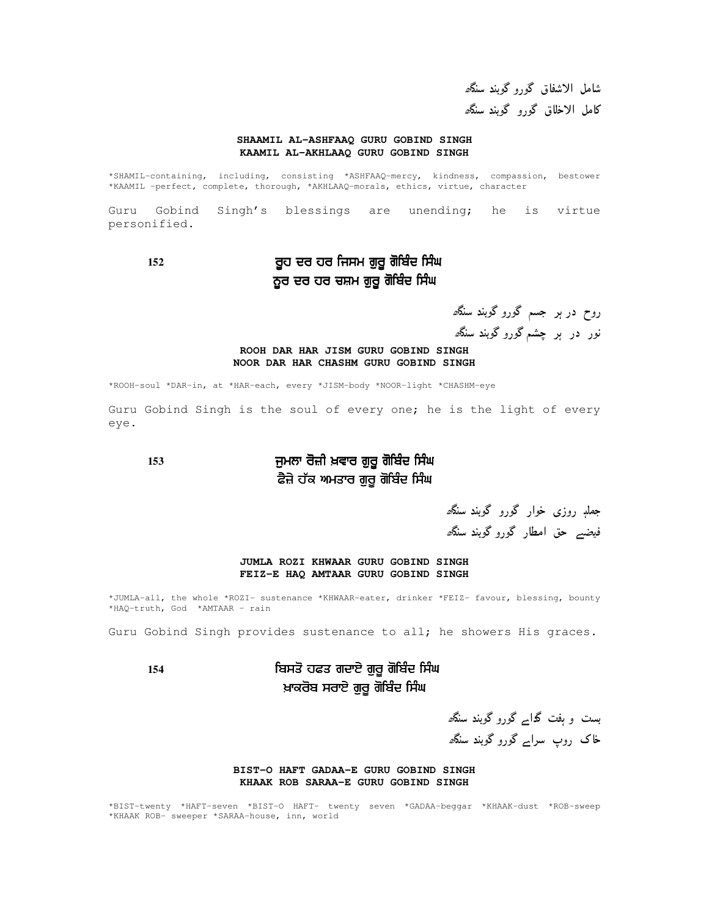شامل الاشفاق گورو گوبند سنگ*ھ* كامل الاخلاق گورو گوبند سنگ*ھ* 

#### **SHAAMIL AL-ASHFAAQ GURU GOBIND SINGH KAAMIL AL-AKHLAAQ GURU GOBIND SINGH**

\*SHAMIL-containing, including, consisting \*ASHFAAQ-mercy, kindness, compassion, bestower \*KAAMIL -perfect, complete, thorough, \*AKHLAAQ-morals, ethics, virtue, character

Guru Gobind Singh's blessings are unending; he is virtue personified.

152 ਰੂਹ ਦਰ ਹਰ ਜਿਸਮ ਗੁਰੂ ਗੋਬਿੰਦ ਸਿੰਘ ਨੂਰ ਦਰ ਹਰ ਚਸ਼ਮ ਗੁਰੂ ਗੋਬਿੰਦ ਸਿੰਘ

روح در ہر جسم گورو گوبند سنگ*ھ* نور در ہر چشم گورو گوبند سنگ*ھ* 

#### **ROOH DAR HAR JISM GURU GOBIND SINGH NOOR DAR HAR CHASHM GURU GOBIND SINGH**

\*ROOH-soul \*DAR-in, at \*HAR-each, every \*JISM-body \*NOOR-light \*CHASHM-eye

Guru Gobind Singh is the soul of every one; he is the light of every eye.

### **153** % & %'- -- ਫੈਜ਼ੇ ਹੱਕ ਅਮਤਾਰ ਗੁਰੂ ਗੋਬਿੰਦ ਸਿੰਘ

جملې روزی خوار گورو گوبند سنگ*ھ* فيضہ حق امطار گورو گوبند سنگھ

#### **JUMLA ROZI KHWAAR GURU GOBIND SINGH FEIZ-E HAQ AMTAAR GURU GOBIND SINGH**

\*JUMLA-all, the whole \*ROZI- sustenance \*KHWAAR-eater, drinker \*FEIZ- favour, blessing, bounty \*HAQ-truth, God \*AMTAAR - rain

Guru Gobind Singh provides sustenance to all; he showers His graces.

### **154** ( %'- -- ਖ਼ਾਕਰੋਬ ਸਰਾਏ ਗੁਰੂ ਗੋਬਿੰਦ ਸਿੰਘ

بست و ہفت گداے گورو گوبند سنگھ خاک روپ سرابر گورو گوبند سنگھ

#### **BIST-O HAFT GADAA-E GURU GOBIND SINGH KHAAK ROB SARAA-E GURU GOBIND SINGH**

\*BIST-twenty \*HAFT-seven \*BIST-O HAFT- twenty seven \*GADAA-beggar \*KHAAK-dust \*ROB-sweep \*KHAAK ROB- sweeper \*SARAA-house, inn, world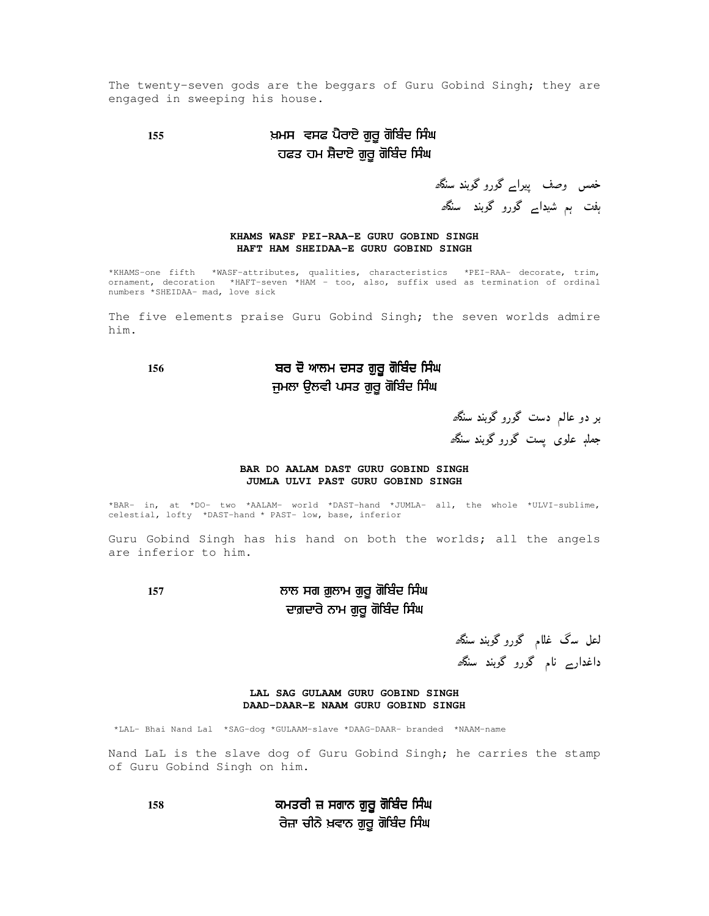The twenty-seven gods are the beggars of Guru Gobind Singh; they are engaged in sweeping his house.

### **155** & ( + %'- -- ਹਫਤ ਹਮ ਸ਼ੈਦਾਏ ਗੁਰੂ ਗੋਬਿੰਦ ਸਿੰਘ

خمس وصف پیرا<sub>ے</sub> گورو گوبند سنگھ ہفت ہم شیدا<sub>ک</sub> گورو گوبند سنگ*ھ* 

#### **KHAMS WASF PEI-RAA-E GURU GOBIND SINGH HAFT HAM SHEIDAA-E GURU GOBIND SINGH**

\*KHAMS-one fifth \*WASF-attributes, qualities, characteristics \*PEI-RAA- decorate, trim, ornament, decoration \*HAFT-seven \*HAM - too, also, suffix used as termination of ordinal numbers \*SHEIDAA- mad, love sick

The five elements praise Guru Gobind Singh; the seven worlds admire him.

### 156 ਬਰ ਦੋ ਆਲਮ ਦਸਤ ਗੁਰੂ ਗੋਬਿੰਦ ਸਿੰਘ ਜੁਮਲਾ ਉਲਵੀ ਪਸਤ ਗੁਰੂ ਗੋਬਿੰਦ ਸਿੰਘ

بر دو عالم دست گورو گوبند سن*گھ* جملې علوی پست گورو گوبند سنگ*ھ* 

#### **BAR DO AALAM DAST GURU GOBIND SINGH JUMLA ULVI PAST GURU GOBIND SINGH**

\*BAR- in, at \*DO- two \*AALAM- world \*DAST-hand \*JUMLA- all, the whole \*ULVI-sublime, celestial, lofty \*DAST-hand \* PAST- low, base, inferior

Guru Gobind Singh has his hand on both the worlds; all the angels are inferior to him.

### **157** % %'- -- ਦਾਗ਼ਦਾਰੇ ਨਾਮ ਗੁਰੂ ਗੋਬਿੰਦ ਸਿੰਘ

لعل سگ غل<mark>ا</mark>م گوروگوبند سنگ*ھ* داغدار<sub>ے</sub> نام گورو گوبند سنگھ

**LAL SAG GULAAM GURU GOBIND SINGH DAAD-DAAR-E NAAM GURU GOBIND SINGH**

\*LAL- Bhai Nand Lal \*SAG-dog \*GULAAM-slave \*DAAG-DAAR- branded \*NAAM-name

Nand LaL is the slave dog of Guru Gobind Singh; he carries the stamp of Guru Gobind Singh on him.

**158**  %'- -- ਰੇਜ਼ਾ ਚੀਨੇ ਖ਼ਵਾਨ ਗੁਰੂ ਗੋਬਿੰਦ ਸਿੰਘ